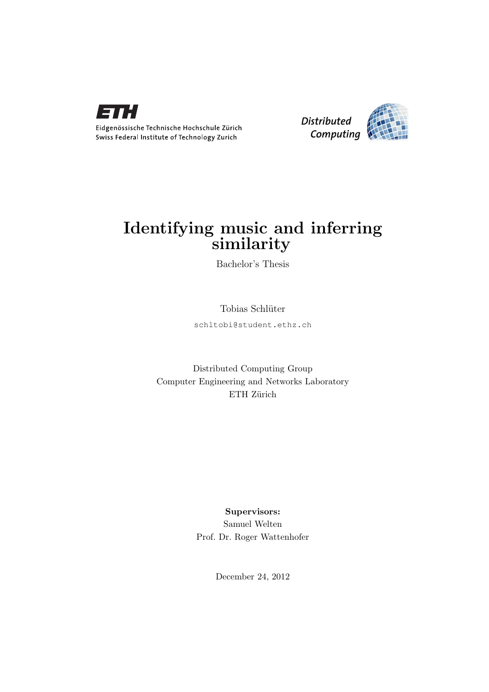



# Identifying music and inferring similarity

Bachelor's Thesis

Tobias Schlüter

schltobi@student.ethz.ch

Distributed Computing Group Computer Engineering and Networks Laboratory ETH Zürich

> Supervisors: Samuel Welten Prof. Dr. Roger Wattenhofer

> > December 24, 2012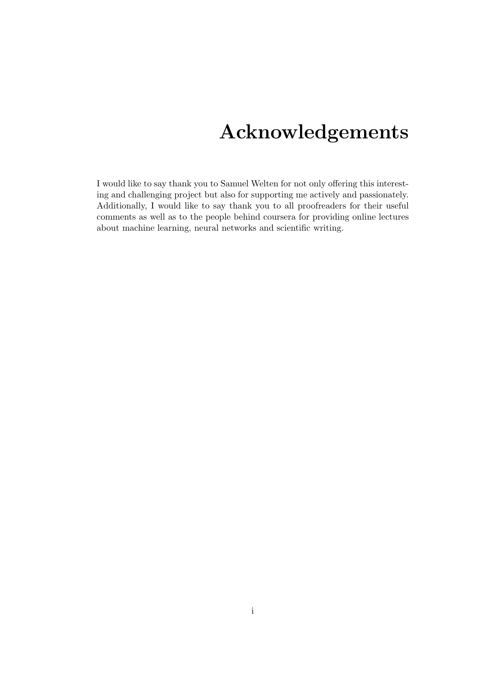# Acknowledgements

<span id="page-1-0"></span>I would like to say thank you to Samuel Welten for not only offering this interesting and challenging project but also for supporting me actively and passionately. Additionally, I would like to say thank you to all proofreaders for their useful comments as well as to the people behind coursera for providing online lectures about machine learning, neural networks and scientific writing.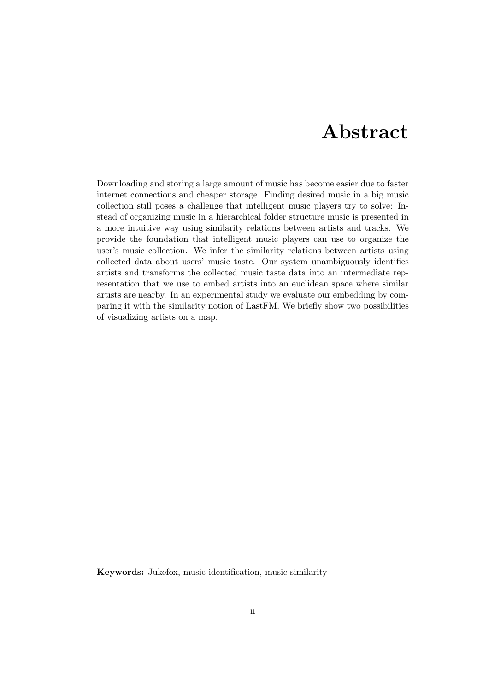# Abstract

<span id="page-2-0"></span>Downloading and storing a large amount of music has become easier due to faster internet connections and cheaper storage. Finding desired music in a big music collection still poses a challenge that intelligent music players try to solve: Instead of organizing music in a hierarchical folder structure music is presented in a more intuitive way using similarity relations between artists and tracks. We provide the foundation that intelligent music players can use to organize the user's music collection. We infer the similarity relations between artists using collected data about users' music taste. Our system unambiguously identifies artists and transforms the collected music taste data into an intermediate representation that we use to embed artists into an euclidean space where similar artists are nearby. In an experimental study we evaluate our embedding by comparing it with the similarity notion of LastFM. We briefly show two possibilities of visualizing artists on a map.

Keywords: Jukefox, music identification, music similarity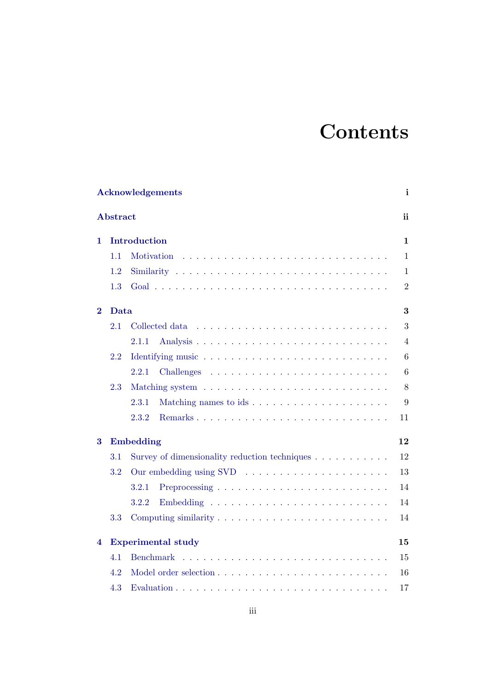# **Contents**

|          | Acknowledgements<br>i |                                                                      |                |  |  |  |  |
|----------|-----------------------|----------------------------------------------------------------------|----------------|--|--|--|--|
|          | <b>Abstract</b>       |                                                                      | ii             |  |  |  |  |
| 1        |                       | Introduction                                                         | $\mathbf{1}$   |  |  |  |  |
|          | 1.1                   | Motivation                                                           | $\mathbf{1}$   |  |  |  |  |
|          | 1.2                   |                                                                      | $\mathbf{1}$   |  |  |  |  |
|          | 1.3                   |                                                                      | $\overline{2}$ |  |  |  |  |
| $\bf{2}$ | Data                  |                                                                      | 3              |  |  |  |  |
|          | 2.1                   | Collected data                                                       | 3              |  |  |  |  |
|          |                       | 2.1.1                                                                | $\overline{4}$ |  |  |  |  |
|          | 2.2                   |                                                                      | 6              |  |  |  |  |
|          |                       | 2.2.1                                                                | 6              |  |  |  |  |
|          | 2.3                   |                                                                      | 8              |  |  |  |  |
|          |                       | Matching names to ids<br>2.3.1                                       | 9              |  |  |  |  |
|          |                       | 2.3.2                                                                | 11             |  |  |  |  |
| 3        |                       | Embedding                                                            | 12             |  |  |  |  |
|          | 3.1                   | Survey of dimensionality reduction techniques $\ldots \ldots \ldots$ | 12             |  |  |  |  |
|          | $3.2\,$               |                                                                      | $13\,$         |  |  |  |  |
|          |                       | 3.2.1                                                                | 14             |  |  |  |  |
|          |                       | 3.2.2                                                                | 14             |  |  |  |  |
|          | 3.3                   |                                                                      | 14             |  |  |  |  |
| 4        |                       | <b>Experimental study</b>                                            | 15             |  |  |  |  |
|          | 4.1                   | <b>Benchmark</b>                                                     | 15             |  |  |  |  |
|          | 4.2                   |                                                                      | 16             |  |  |  |  |
|          | 4.3                   |                                                                      | 17             |  |  |  |  |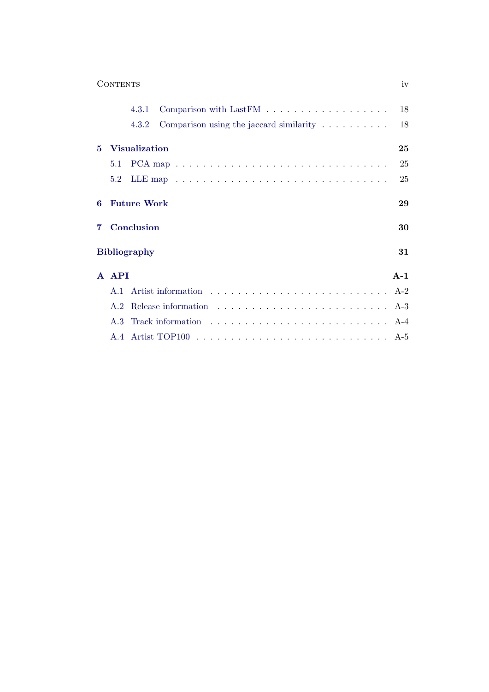|   | <b>CONTENTS</b>                                                             | iv    |
|---|-----------------------------------------------------------------------------|-------|
|   | Comparison with LastFM $\ldots \ldots \ldots \ldots \ldots \ldots$<br>4.3.1 | 18    |
|   | Comparison using the jaccard similarity $\ldots \ldots \ldots$<br>4.3.2     | 18    |
| 5 | <b>Visualization</b>                                                        | 25    |
|   | 5.1                                                                         | 25    |
|   | 5.2                                                                         | 25    |
| 6 | <b>Future Work</b>                                                          | 29    |
| 7 | Conclusion                                                                  | 30    |
|   | <b>Bibliography</b>                                                         | 31    |
|   | A API                                                                       | $A-1$ |
|   | A.1                                                                         | $A-2$ |
|   | A.2                                                                         |       |
|   | A.3                                                                         |       |
|   |                                                                             |       |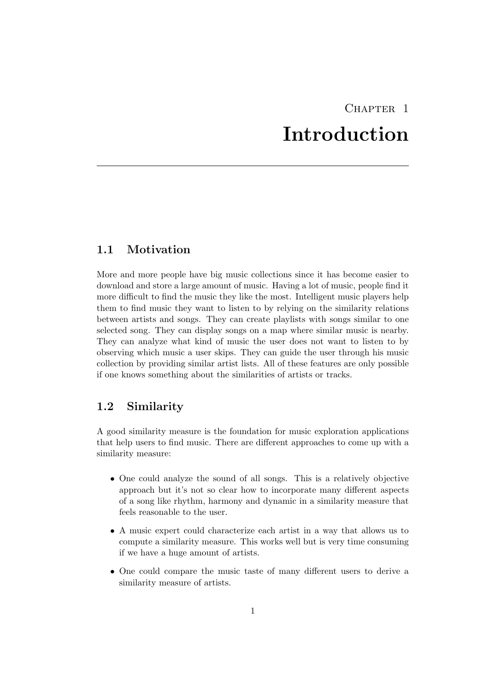# CHAPTER<sub>1</sub> Introduction

# <span id="page-5-1"></span><span id="page-5-0"></span>1.1 Motivation

More and more people have big music collections since it has become easier to download and store a large amount of music. Having a lot of music, people find it more difficult to find the music they like the most. Intelligent music players help them to find music they want to listen to by relying on the similarity relations between artists and songs. They can create playlists with songs similar to one selected song. They can display songs on a map where similar music is nearby. They can analyze what kind of music the user does not want to listen to by observing which music a user skips. They can guide the user through his music collection by providing similar artist lists. All of these features are only possible if one knows something about the similarities of artists or tracks.

# <span id="page-5-2"></span>1.2 Similarity

A good similarity measure is the foundation for music exploration applications that help users to find music. There are different approaches to come up with a similarity measure:

- One could analyze the sound of all songs. This is a relatively objective approach but it's not so clear how to incorporate many different aspects of a song like rhythm, harmony and dynamic in a similarity measure that feels reasonable to the user.
- A music expert could characterize each artist in a way that allows us to compute a similarity measure. This works well but is very time consuming if we have a huge amount of artists.
- One could compare the music taste of many different users to derive a similarity measure of artists.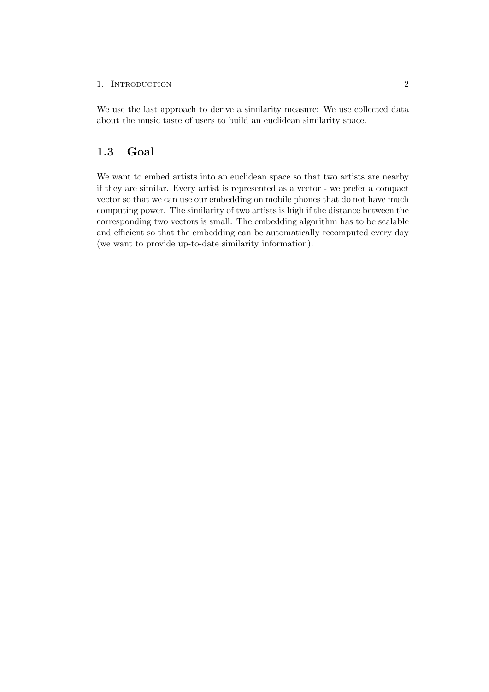#### 1. INTRODUCTION 2

We use the last approach to derive a similarity measure: We use collected data about the music taste of users to build an euclidean similarity space.

# <span id="page-6-0"></span>1.3 Goal

We want to embed artists into an euclidean space so that two artists are nearby if they are similar. Every artist is represented as a vector - we prefer a compact vector so that we can use our embedding on mobile phones that do not have much computing power. The similarity of two artists is high if the distance between the corresponding two vectors is small. The embedding algorithm has to be scalable and efficient so that the embedding can be automatically recomputed every day (we want to provide up-to-date similarity information).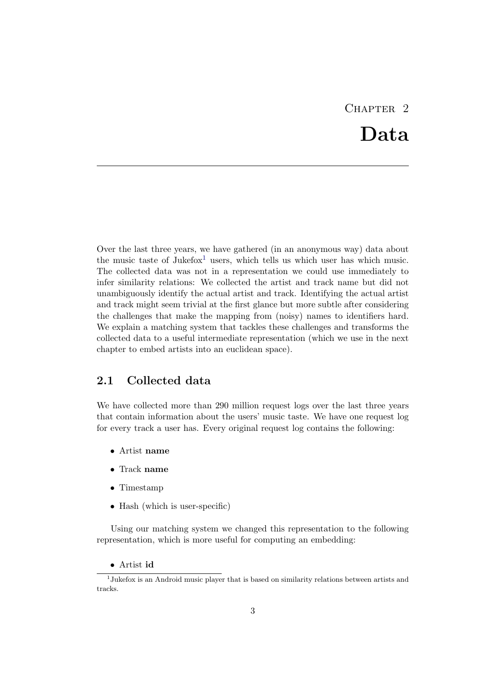# $CHAPTER$  2 Data

<span id="page-7-0"></span>Over the last three years, we have gathered (in an anonymous way) data about the music taste of Jukefox<sup>[1](#page-7-2)</sup> users, which tells us which user has which music. The collected data was not in a representation we could use immediately to infer similarity relations: We collected the artist and track name but did not unambiguously identify the actual artist and track. Identifying the actual artist and track might seem trivial at the first glance but more subtle after considering the challenges that make the mapping from (noisy) names to identifiers hard. We explain a matching system that tackles these challenges and transforms the collected data to a useful intermediate representation (which we use in the next chapter to embed artists into an euclidean space).

# <span id="page-7-1"></span>2.1 Collected data

We have collected more than 290 million request logs over the last three years that contain information about the users' music taste. We have one request log for every track a user has. Every original request log contains the following:

- Artist name
- Track name
- Timestamp
- Hash (which is user-specific)

Using our matching system we changed this representation to the following representation, which is more useful for computing an embedding:

### <span id="page-7-2"></span>• Artist id

<sup>&</sup>lt;sup>1</sup>Jukefox is an Android music player that is based on similarity relations between artists and tracks.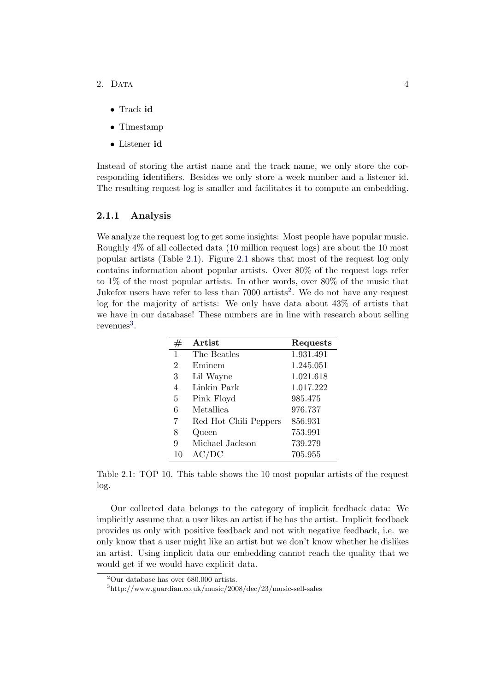- 2. Data 4
	- Track id
	- Timestamp
	- Listener id

Instead of storing the artist name and the track name, we only store the corresponding identifiers. Besides we only store a week number and a listener id. The resulting request log is smaller and facilitates it to compute an embedding.

#### <span id="page-8-0"></span>2.1.1 Analysis

We analyze the request log to get some insights: Most people have popular music. Roughly 4% of all collected data (10 million request logs) are about the 10 most popular artists (Table [2.1\)](#page-8-1). Figure [2.1](#page-9-0) shows that most of the request log only contains information about popular artists. Over 80% of the request logs refer to 1% of the most popular artists. In other words, over 80% of the music that Jukefox users have refer to less than 7000 artists<sup>[2](#page-8-2)</sup>. We do not have any request log for the majority of artists: We only have data about 43% of artists that we have in our database! These numbers are in line with research about selling revenues<sup>[3](#page-8-3)</sup>.

<span id="page-8-1"></span>

| #              | <b>Artist</b>         | Requests  |
|----------------|-----------------------|-----------|
| 1              | The Beatles           | 1.931.491 |
| $\overline{2}$ | Eminem                | 1.245.051 |
| 3              | Lil Wayne             | 1.021.618 |
| 4              | Linkin Park           | 1.017.222 |
| 5              | Pink Floyd            | 985.475   |
| 6              | <b>Metallica</b>      | 976.737   |
| 7              | Red Hot Chili Peppers | 856.931   |
| 8              | Queen                 | 753.991   |
| 9              | Michael Jackson       | 739.279   |
| 10             | DС<br>AC/             | 705.955   |

Table 2.1: TOP 10. This table shows the 10 most popular artists of the request log.

Our collected data belongs to the category of implicit feedback data: We implicitly assume that a user likes an artist if he has the artist. Implicit feedback provides us only with positive feedback and not with negative feedback, i.e. we only know that a user might like an artist but we don't know whether he dislikes an artist. Using implicit data our embedding cannot reach the quality that we would get if we would have explicit data.

<span id="page-8-2"></span> $2$ Our database has over 680.000 artists.

<span id="page-8-3"></span><sup>3</sup>http://www.guardian.co.uk/music/2008/dec/23/music-sell-sales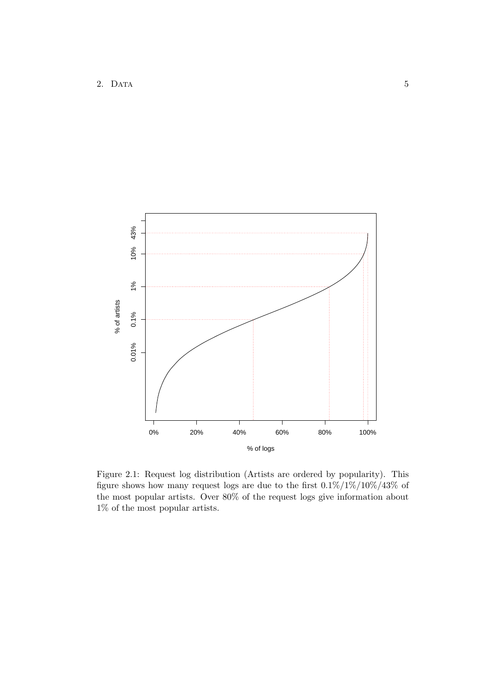<span id="page-9-0"></span>

Figure 2.1: Request log distribution (Artists are ordered by popularity). This figure shows how many request logs are due to the first  $0.1\%/1\%/10\%/43\%$  of the most popular artists. Over 80% of the request logs give information about 1% of the most popular artists.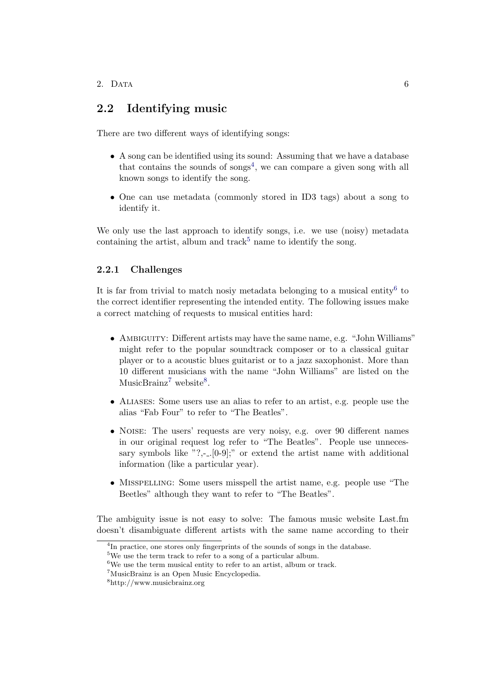# <span id="page-10-0"></span>2.2 Identifying music

There are two different ways of identifying songs:

- A song can be identified using its sound: Assuming that we have a database that contains the sounds of songs<sup>[4](#page-10-2)</sup>, we can compare a given song with all known songs to identify the song.
- One can use metadata (commonly stored in ID3 tags) about a song to identify it.

We only use the last approach to identify songs, i.e. we use (noisy) metadata containing the artist, album and track<sup>[5](#page-10-3)</sup> name to identify the song.

### <span id="page-10-1"></span>2.2.1 Challenges

It is far from trivial to match nosiy metadata belonging to a musical entity<sup>[6](#page-10-4)</sup> to the correct identifier representing the intended entity. The following issues make a correct matching of requests to musical entities hard:

- AMBIGUITY: Different artists may have the same name, e.g. "John Williams" might refer to the popular soundtrack composer or to a classical guitar player or to a acoustic blues guitarist or to a jazz saxophonist. More than 10 different musicians with the name "John Williams" are listed on the MusicBrainz<sup>[7](#page-10-5)</sup> website<sup>[8](#page-10-6)</sup>.
- Aliases: Some users use an alias to refer to an artist, e.g. people use the alias "Fab Four" to refer to "The Beatles".
- NOISE: The users' requests are very noisy, e.g. over 90 different names in our original request log refer to "The Beatles". People use unnecessary symbols like "?,-.. $[0-9]$ ;" or extend the artist name with additional information (like a particular year).
- MISSPELLING: Some users misspell the artist name, e.g. people use "The Beetles" although they want to refer to "The Beatles".

The ambiguity issue is not easy to solve: The famous music website Last.fm doesn't disambiguate different artists with the same name according to their

<span id="page-10-2"></span><sup>&</sup>lt;sup>4</sup>In practice, one stores only fingerprints of the sounds of songs in the database.

<span id="page-10-3"></span><sup>&</sup>lt;sup>5</sup>We use the term track to refer to a song of a particular album.

<span id="page-10-4"></span><sup>6</sup>We use the term musical entity to refer to an artist, album or track.

<span id="page-10-5"></span><sup>7</sup>MusicBrainz is an Open Music Encyclopedia.

<span id="page-10-6"></span><sup>8</sup>http://www.musicbrainz.org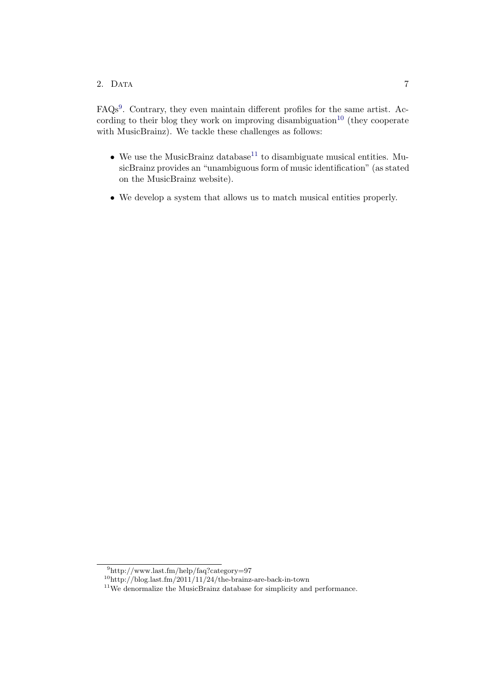### 2. Data 7

FAQs<sup>[9](#page-11-0)</sup>. Contrary, they even maintain different profiles for the same artist. Ac-cording to their blog they work on improving disambiguation<sup>[10](#page-11-1)</sup> (they cooperate with MusicBrainz). We tackle these challenges as follows:

- We use the MusicBrainz database<sup>[11](#page-11-2)</sup> to disambiguate musical entities. MusicBrainz provides an "unambiguous form of music identification" (as stated on the MusicBrainz website).
- We develop a system that allows us to match musical entities properly.

<span id="page-11-0"></span><sup>9</sup>http://www.last.fm/help/faq?category=97

<span id="page-11-1"></span> $\mathrm{^{10}http://blog.last.fm/2011/11/24/the-brainz-are-back-in-town}$ 

<span id="page-11-2"></span><sup>&</sup>lt;sup>11</sup>We denormalize the MusicBrainz database for simplicity and performance.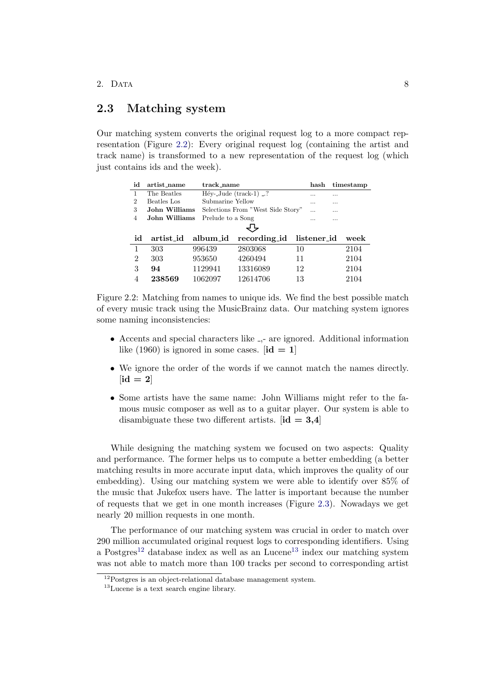### <span id="page-12-0"></span>2.3 Matching system

Our matching system converts the original request log to a more compact representation (Figure [2.2\)](#page-12-1): Every original request log (containing the artist and track name) is transformed to a new representation of the request log (which just contains ids and the week).

<span id="page-12-1"></span>

| id             | artist_name   | track name        |                                   | hash        | timestamp |
|----------------|---------------|-------------------|-----------------------------------|-------------|-----------|
| 1              | The Beatles   |                   | $Héy$ -Jude (track-1) ?           |             | $\cdots$  |
| $\overline{2}$ | Beatles Los   | Submarine Yellow  |                                   |             |           |
| 3              | John Williams |                   | Selections From "West Side Story" | $\cdots$    |           |
| 4              | John Williams | Prelude to a Song |                                   | .           |           |
|                |               |                   |                                   |             |           |
| id             | artist_id     | album_id          | recording id                      | listener_id | week      |
| 1              | 303           | 996439            | 2803068                           | 10          | 2104      |
| $\overline{2}$ | 303           | 953650            | 4260494                           | 11          | 2104      |
| 3              | 94            | 1129941           | 13316089                          | 12          | 2104      |
|                | 238569        | 1062097           | 12614706                          | 13          | 2104      |

Figure 2.2: Matching from names to unique ids. We find the best possible match of every music track using the MusicBrainz data. Our matching system ignores some naming inconsistencies:

- Accents and special characters like ,- are ignored. Additional information like (1960) is ignored in some cases.  $[\text{id} = 1]$
- We ignore the order of the words if we cannot match the names directly.  $\left[\mathrm{id}\right]=2$
- Some artists have the same name: John Williams might refer to the famous music composer as well as to a guitar player. Our system is able to disambiguate these two different artists.  $[\text{id} = 3.4]$

While designing the matching system we focused on two aspects: Quality and performance. The former helps us to compute a better embedding (a better matching results in more accurate input data, which improves the quality of our embedding). Using our matching system we were able to identify over 85% of the music that Jukefox users have. The latter is important because the number of requests that we get in one month increases (Figure [2.3\)](#page-13-1). Nowadays we get nearly 20 million requests in one month.

The performance of our matching system was crucial in order to match over 290 million accumulated original request logs to corresponding identifiers. Using a Postgres<sup>[12](#page-12-2)</sup> database index as well as an Lucene<sup>[13](#page-12-3)</sup> index our matching system was not able to match more than 100 tracks per second to corresponding artist

<span id="page-12-2"></span><sup>&</sup>lt;sup>12</sup>Postgres is an object-relational database management system.

<span id="page-12-3"></span><sup>13</sup>Lucene is a text search engine library.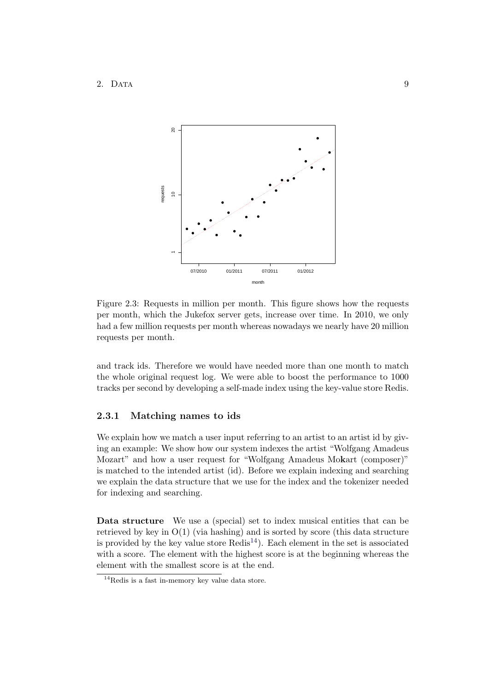<span id="page-13-1"></span>

Figure 2.3: Requests in million per month. This figure shows how the requests per month, which the Jukefox server gets, increase over time. In 2010, we only had a few million requests per month whereas nowadays we nearly have 20 million requests per month.

and track ids. Therefore we would have needed more than one month to match the whole original request log. We were able to boost the performance to 1000 tracks per second by developing a self-made index using the key-value store Redis.

#### <span id="page-13-0"></span>2.3.1 Matching names to ids

We explain how we match a user input referring to an artist to an artist id by giving an example: We show how our system indexes the artist "Wolfgang Amadeus Mozart" and how a user request for "Wolfgang Amadeus Mokart (composer)" is matched to the intended artist (id). Before we explain indexing and searching we explain the data structure that we use for the index and the tokenizer needed for indexing and searching.

Data structure We use a (special) set to index musical entities that can be retrieved by key in  $O(1)$  (via hashing) and is sorted by score (this data structure is provided by the key value store  $\text{Redis}^{14}$  $\text{Redis}^{14}$  $\text{Redis}^{14}$ ). Each element in the set is associated with a score. The element with the highest score is at the beginning whereas the element with the smallest score is at the end.

<span id="page-13-2"></span> $14$ Redis is a fast in-memory key value data store.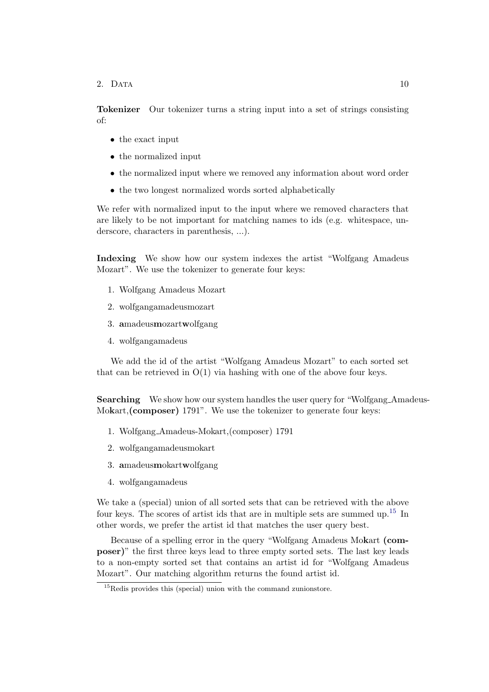2. DATA 10

Tokenizer Our tokenizer turns a string input into a set of strings consisting of:

- the exact input
- the normalized input
- the normalized input where we removed any information about word order
- the two longest normalized words sorted alphabetically

We refer with normalized input to the input where we removed characters that are likely to be not important for matching names to ids (e.g. whitespace, underscore, characters in parenthesis, ...).

Indexing We show how our system indexes the artist "Wolfgang Amadeus Mozart". We use the tokenizer to generate four keys:

- 1. Wolfgang Amadeus Mozart
- 2. wolfgangamadeusmozart
- 3. amadeusmozartwolfgang
- 4. wolfgangamadeus

We add the id of the artist "Wolfgang Amadeus Mozart" to each sorted set that can be retrieved in  $O(1)$  via hashing with one of the above four keys.

Searching We show how our system handles the user query for "Wolfgang Amadeus-Mokart, (composer) 1791". We use the tokenizer to generate four keys:

- 1. Wolfgang Amadeus-Mokart,(composer) 1791
- 2. wolfgangamadeusmokart
- 3. amadeusmokartwolfgang
- 4. wolfgangamadeus

We take a (special) union of all sorted sets that can be retrieved with the above four keys. The scores of artist ids that are in multiple sets are summed up.<sup>[15](#page-14-0)</sup> In other words, we prefer the artist id that matches the user query best.

Because of a spelling error in the query "Wolfgang Amadeus Mokart (composer)" the first three keys lead to three empty sorted sets. The last key leads to a non-empty sorted set that contains an artist id for "Wolfgang Amadeus Mozart". Our matching algorithm returns the found artist id.

<span id="page-14-0"></span> $15$ Redis provides this (special) union with the command zunionstore.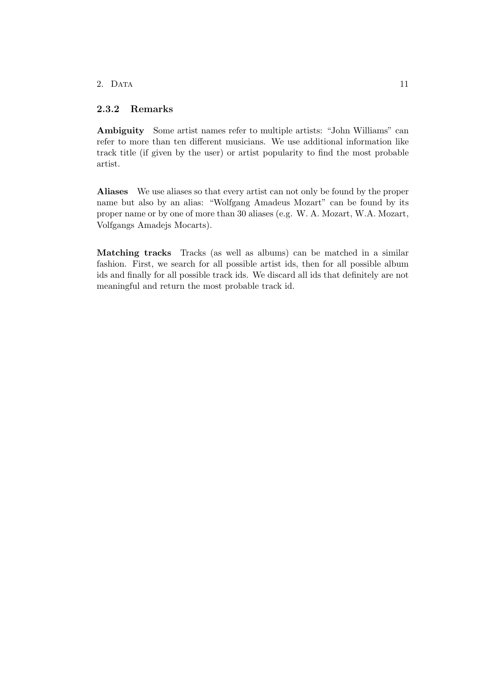### 2. Data 11

### <span id="page-15-0"></span>2.3.2 Remarks

Ambiguity Some artist names refer to multiple artists: "John Williams" can refer to more than ten different musicians. We use additional information like track title (if given by the user) or artist popularity to find the most probable artist.

Aliases We use aliases so that every artist can not only be found by the proper name but also by an alias: "Wolfgang Amadeus Mozart" can be found by its proper name or by one of more than 30 aliases (e.g. W. A. Mozart, W.A. Mozart, Volfgangs Amadejs Mocarts).

Matching tracks Tracks (as well as albums) can be matched in a similar fashion. First, we search for all possible artist ids, then for all possible album ids and finally for all possible track ids. We discard all ids that definitely are not meaningful and return the most probable track id.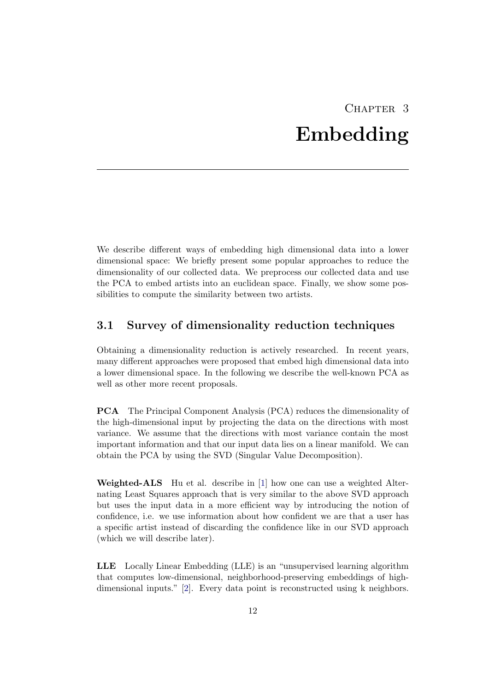# CHAPTER<sub>3</sub> Embedding

<span id="page-16-0"></span>We describe different ways of embedding high dimensional data into a lower dimensional space: We briefly present some popular approaches to reduce the dimensionality of our collected data. We preprocess our collected data and use the PCA to embed artists into an euclidean space. Finally, we show some possibilities to compute the similarity between two artists.

### <span id="page-16-1"></span>3.1 Survey of dimensionality reduction techniques

Obtaining a dimensionality reduction is actively researched. In recent years, many different approaches were proposed that embed high dimensional data into a lower dimensional space. In the following we describe the well-known PCA as well as other more recent proposals.

PCA The Principal Component Analysis (PCA) reduces the dimensionality of the high-dimensional input by projecting the data on the directions with most variance. We assume that the directions with most variance contain the most important information and that our input data lies on a linear manifold. We can obtain the PCA by using the SVD (Singular Value Decomposition).

Weighted-ALS Hu et al. describe in [\[1\]](#page-35-1) how one can use a weighted Alternating Least Squares approach that is very similar to the above SVD approach but uses the input data in a more efficient way by introducing the notion of confidence, i.e. we use information about how confident we are that a user has a specific artist instead of discarding the confidence like in our SVD approach (which we will describe later).

LLE Locally Linear Embedding (LLE) is an "unsupervised learning algorithm that computes low-dimensional, neighborhood-preserving embeddings of highdimensional inputs." [\[2\]](#page-35-2). Every data point is reconstructed using k neighbors.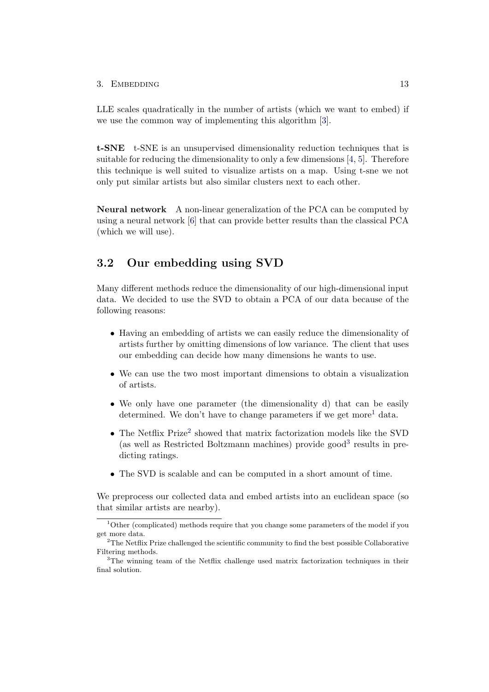#### $3.$  EMBEDDING  $13$

LLE scales quadratically in the number of artists (which we want to embed) if we use the common way of implementing this algorithm [\[3\]](#page-35-3).

t-SNE t-SNE is an unsupervised dimensionality reduction techniques that is suitable for reducing the dimensionality to only a few dimensions [\[4,](#page-35-4) [5\]](#page-35-5). Therefore this technique is well suited to visualize artists on a map. Using t-sne we not only put similar artists but also similar clusters next to each other.

Neural network A non-linear generalization of the PCA can be computed by using a neural network [\[6\]](#page-35-6) that can provide better results than the classical PCA (which we will use).

### <span id="page-17-0"></span>3.2 Our embedding using SVD

Many different methods reduce the dimensionality of our high-dimensional input data. We decided to use the SVD to obtain a PCA of our data because of the following reasons:

- Having an embedding of artists we can easily reduce the dimensionality of artists further by omitting dimensions of low variance. The client that uses our embedding can decide how many dimensions he wants to use.
- We can use the two most important dimensions to obtain a visualization of artists.
- We only have one parameter (the dimensionality d) that can be easily determined. We don't have to change parameters if we get more<sup>[1](#page-17-1)</sup> data.
- $\bullet$  The Netflix Prize<sup>[2](#page-17-2)</sup> showed that matrix factorization models like the SVD (as well as Restricted Boltzmann machines) provide  $\text{good}^3$  $\text{good}^3$  results in predicting ratings.
- The SVD is scalable and can be computed in a short amount of time.

We preprocess our collected data and embed artists into an euclidean space (so that similar artists are nearby).

<span id="page-17-1"></span> $1$ Other (complicated) methods require that you change some parameters of the model if you get more data.

<span id="page-17-2"></span><sup>&</sup>lt;sup>2</sup>The Netflix Prize challenged the scientific community to find the best possible Collaborative Filtering methods.

<span id="page-17-3"></span> $3$ The winning team of the Netflix challenge used matrix factorization techniques in their final solution.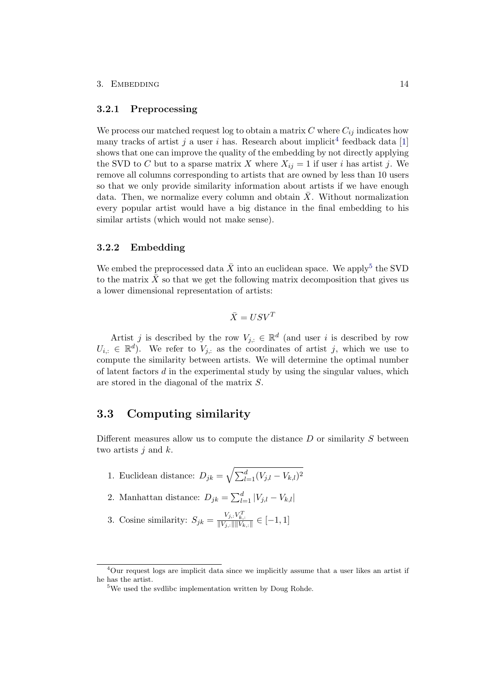#### 3. EMBEDDING  $14$

#### <span id="page-18-0"></span>3.2.1 Preprocessing

We process our matched request log to obtain a matrix  $C$  where  $C_{ij}$  indicates how many tracks of artist j a user i has. Research about implicit<sup>[4](#page-18-3)</sup> feedback data [\[1\]](#page-35-1) shows that one can improve the quality of the embedding by not directly applying the SVD to C but to a sparse matrix X where  $X_{ij} = 1$  if user i has artist j. We remove all columns corresponding to artists that are owned by less than 10 users so that we only provide similarity information about artists if we have enough data. Then, we normalize every column and obtain  $\overline{X}$ . Without normalization every popular artist would have a big distance in the final embedding to his similar artists (which would not make sense).

### <span id="page-18-1"></span>3.2.2 Embedding

We embed the preprocessed data  $\bar{X}$  into an euclidean space. We apply<sup>[5](#page-18-4)</sup> the SVD to the matrix  $\bar{X}$  so that we get the following matrix decomposition that gives us a lower dimensional representation of artists:

$$
\bar{X} = USV^T
$$

Artist j is described by the row  $V_{j,:} \in \mathbb{R}^d$  (and user i is described by row  $U_{i,:} \in \mathbb{R}^d$ ). We refer to  $V_{j,:}$  as the coordinates of artist j, which we use to compute the similarity between artists. We will determine the optimal number of latent factors  $d$  in the experimental study by using the singular values, which are stored in the diagonal of the matrix S.

### <span id="page-18-2"></span>3.3 Computing similarity

Different measures allow us to compute the distance  $D$  or similarity  $S$  between two artists  $j$  and  $k$ .

- 1. Euclidean distance:  $D_{jk} = \sqrt{\sum_{l=1}^{d} (V_{j,l} V_{k,l})^2}$
- 2. Manhattan distance:  $D_{jk} = \sum_{l=1}^{d} |V_{j,l} V_{k,l}|$
- 3. Cosine similarity:  $S_{jk} = \frac{V_{j,:} V_{k,:}^T}{\|V_{j,:}\| \|V_{k,:}\|} \in [-1, 1]$

<span id="page-18-3"></span> $4$ Our request logs are implicit data since we implicitly assume that a user likes an artist if he has the artist.

<span id="page-18-4"></span><sup>5</sup>We used the svdlibc implementation written by Doug Rohde.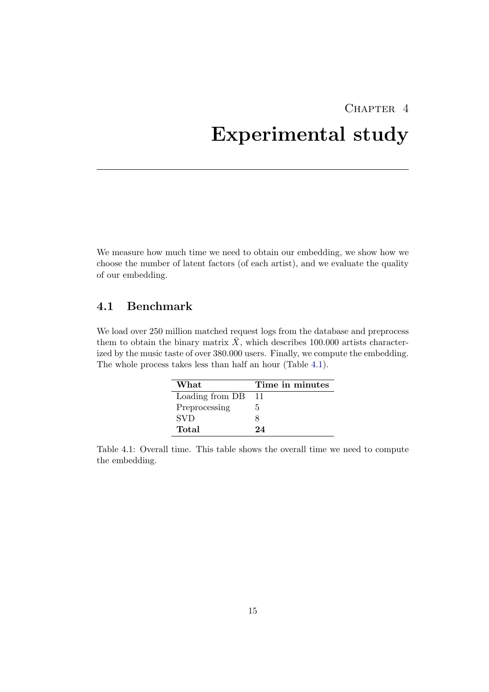# <span id="page-19-0"></span>CHAPTER<sub>4</sub> Experimental study

We measure how much time we need to obtain our embedding, we show how we choose the number of latent factors (of each artist), and we evaluate the quality of our embedding.

# <span id="page-19-1"></span>4.1 Benchmark

<span id="page-19-2"></span>We load over 250 million matched request logs from the database and preprocess them to obtain the binary matrix  $\bar{X}$ , which describes 100.000 artists characterized by the music taste of over 380.000 users. Finally, we compute the embedding. The whole process takes less than half an hour (Table [4.1\)](#page-19-2).

| What            | Time in minutes |
|-----------------|-----------------|
| Loading from DB | 11              |
| Preprocessing   | h.              |
| <b>SVD</b>      |                 |
| Total           | 24              |

Table 4.1: Overall time. This table shows the overall time we need to compute the embedding.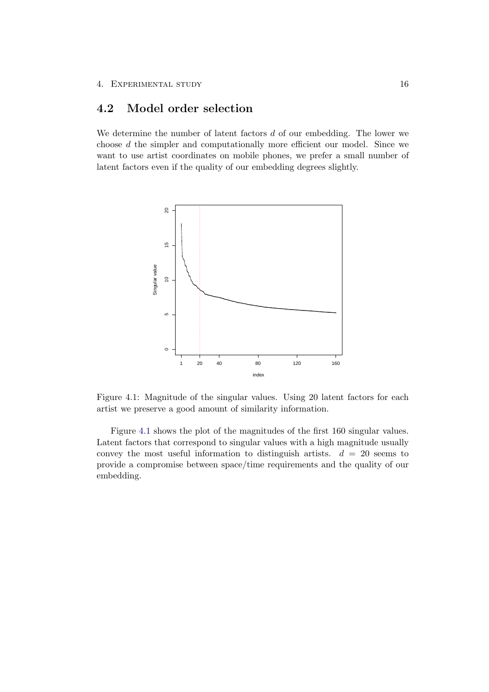# <span id="page-20-0"></span>4.2 Model order selection

We determine the number of latent factors  $d$  of our embedding. The lower we choose d the simpler and computationally more efficient our model. Since we want to use artist coordinates on mobile phones, we prefer a small number of latent factors even if the quality of our embedding degrees slightly.

<span id="page-20-1"></span>

Figure 4.1: Magnitude of the singular values. Using 20 latent factors for each artist we preserve a good amount of similarity information.

Figure [4.1](#page-20-1) shows the plot of the magnitudes of the first 160 singular values. Latent factors that correspond to singular values with a high magnitude usually convey the most useful information to distinguish artists.  $d = 20$  seems to provide a compromise between space/time requirements and the quality of our embedding.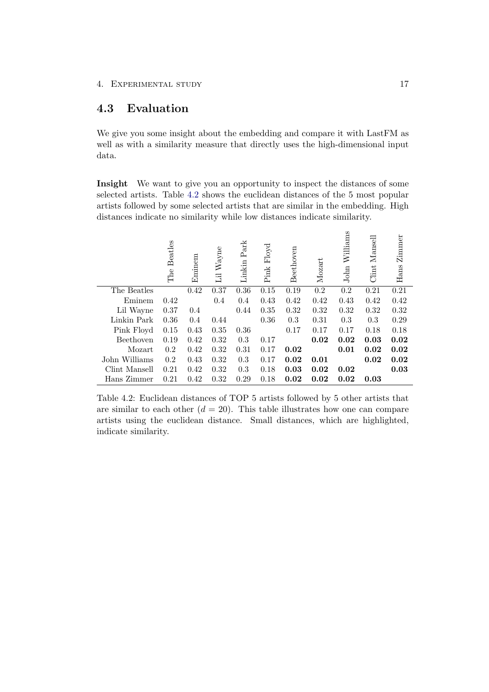# <span id="page-21-0"></span>4.3 Evaluation

We give you some insight about the embedding and compare it with LastFM as well as with a similarity measure that directly uses the high-dimensional input data.

Insight We want to give you an opportunity to inspect the distances of some selected artists. Table [4.2](#page-21-1) shows the euclidean distances of the 5 most popular artists followed by some selected artists that are similar in the embedding. High distances indicate no similarity while low distances indicate similarity.

<span id="page-21-1"></span>

|               | <b>Beatles</b><br>The | Eminem | $\rm{Wayne}$<br>$\overline{11}$ | Park<br>Linkin | Floyd<br>$\operatorname{Pink}$ | Beethoven | Mozart | Williams<br>$_{\rm{John}}$ | Mansell<br>Clint | Zimmer<br>Hans |
|---------------|-----------------------|--------|---------------------------------|----------------|--------------------------------|-----------|--------|----------------------------|------------------|----------------|
| The Beatles   |                       | 0.42   | 0.37                            | 0.36           | 0.15                           | 0.19      | 0.2    | 0.2                        | 0.21             | 0.21           |
| Eminem        | 0.42                  |        | 0.4                             | 0.4            | 0.43                           | 0.42      | 0.42   | 0.43                       | 0.42             | 0.42           |
| Lil Wayne     | 0.37                  | 0.4    |                                 | 0.44           | 0.35                           | 0.32      | 0.32   | 0.32                       | 0.32             | 0.32           |
| Linkin Park   | 0.36                  | 0.4    | 0.44                            |                | 0.36                           | 0.3       | 0.31   | 0.3                        | 0.3              | 0.29           |
| Pink Floyd    | 0.15                  | 0.43   | 0.35                            | 0.36           |                                | 0.17      | 0.17   | 0.17                       | 0.18             | 0.18           |
| Beethoven     | 0.19                  | 0.42   | 0.32                            | 0.3            | 0.17                           |           | 0.02   | 0.02                       | 0.03             | 0.02           |
| Mozart        | 0.2                   | 0.42   | 0.32                            | 0.31           | 0.17                           | 0.02      |        | 0.01                       | 0.02             | 0.02           |
| John Williams | 0.2                   | 0.43   | 0.32                            | 0.3            | 0.17                           | 0.02      | 0.01   |                            | 0.02             | 0.02           |
| Clint Mansell | 0.21                  | 0.42   | 0.32                            | 0.3            | 0.18                           | 0.03      | 0.02   | 0.02                       |                  | 0.03           |
| Hans Zimmer   | 0.21                  | 0.42   | 0.32                            | 0.29           | 0.18                           | 0.02      | 0.02   | 0.02                       | 0.03             |                |

Table 4.2: Euclidean distances of TOP 5 artists followed by 5 other artists that are similar to each other  $(d = 20)$ . This table illustrates how one can compare artists using the euclidean distance. Small distances, which are highlighted, indicate similarity.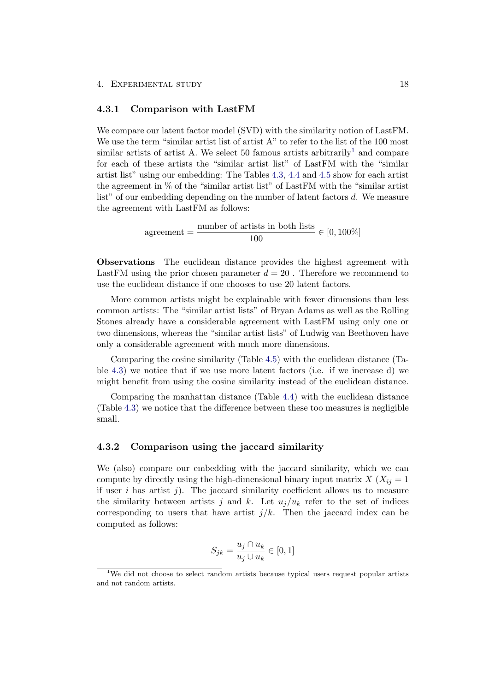#### <span id="page-22-0"></span>4.3.1 Comparison with LastFM

We compare our latent factor model (SVD) with the similarity notion of LastFM. We use the term "similar artist list of artist A" to refer to the list of the 100 most similar artists of artist A. We select 50 famous artists arbitrarily<sup>[1](#page-22-2)</sup> and compare for each of these artists the "similar artist list" of LastFM with the "similar artist list" using our embedding: The Tables [4.3,](#page-24-0) [4.4](#page-25-0) and [4.5](#page-26-0) show for each artist the agreement in % of the "similar artist list" of LastFM with the "similar artist list" of our embedding depending on the number of latent factors d. We measure the agreement with LastFM as follows:

> agreement  $=\frac{\text{number of artists in both lists}}{100}$  $\frac{100}{100} \in [0, 100\%]$

Observations The euclidean distance provides the highest agreement with LastFM using the prior chosen parameter  $d = 20$ . Therefore we recommend to use the euclidean distance if one chooses to use 20 latent factors.

More common artists might be explainable with fewer dimensions than less common artists: The "similar artist lists" of Bryan Adams as well as the Rolling Stones already have a considerable agreement with LastFM using only one or two dimensions, whereas the "similar artist lists" of Ludwig van Beethoven have only a considerable agreement with much more dimensions.

Comparing the cosine similarity (Table [4.5\)](#page-26-0) with the euclidean distance (Table [4.3\)](#page-24-0) we notice that if we use more latent factors (i.e. if we increase d) we might benefit from using the cosine similarity instead of the euclidean distance.

Comparing the manhattan distance (Table [4.4\)](#page-25-0) with the euclidean distance (Table [4.3\)](#page-24-0) we notice that the difference between these too measures is negligible small.

#### <span id="page-22-1"></span>4.3.2 Comparison using the jaccard similarity

We (also) compare our embedding with the jaccard similarity, which we can compute by directly using the high-dimensional binary input matrix  $X$  ( $X_{ij} = 1$ ) if user i has artist j). The jaccard similarity coefficient allows us to measure the similarity between artists j and k. Let  $u_j/u_k$  refer to the set of indices corresponding to users that have artist  $j/k$ . Then the jaccard index can be computed as follows:

$$
S_{jk} = \frac{u_j \cap u_k}{u_j \cup u_k} \in [0, 1]
$$

<span id="page-22-2"></span><sup>&</sup>lt;sup>1</sup>We did not choose to select random artists because typical users request popular artists and not random artists.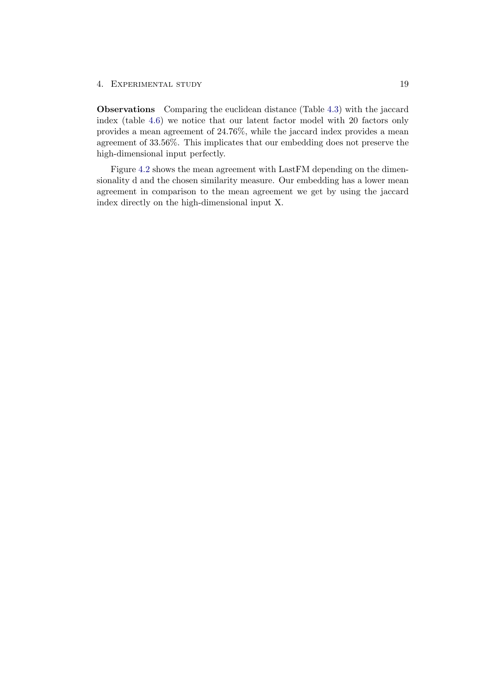Observations Comparing the euclidean distance (Table [4.3\)](#page-24-0) with the jaccard index (table [4.6\)](#page-27-0) we notice that our latent factor model with 20 factors only provides a mean agreement of 24.76%, while the jaccard index provides a mean agreement of 33.56%. This implicates that our embedding does not preserve the high-dimensional input perfectly.

Figure [4.2](#page-28-0) shows the mean agreement with LastFM depending on the dimensionality d and the chosen similarity measure. Our embedding has a lower mean agreement in comparison to the mean agreement we get by using the jaccard index directly on the high-dimensional input X.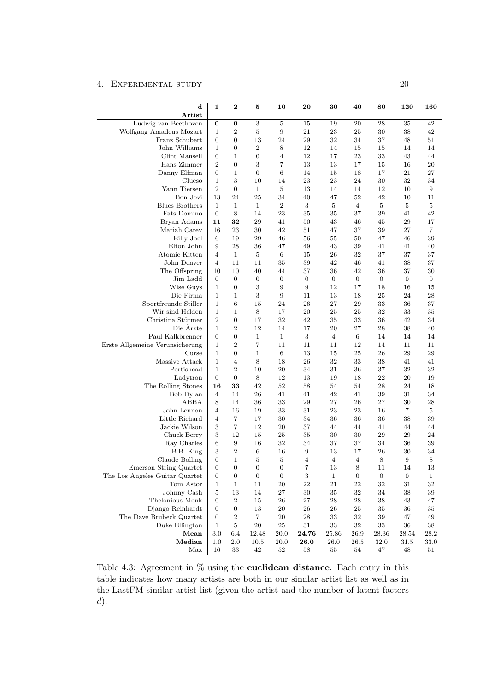<span id="page-24-0"></span>

| $\mathbf d$<br>Artist                    | 1                            | $\boldsymbol{2}$                   | 5                | 10               | 20               | 30               | 40               | 80               | 120              | 160              |
|------------------------------------------|------------------------------|------------------------------------|------------------|------------------|------------------|------------------|------------------|------------------|------------------|------------------|
| Ludwig van Beethoven                     | $\bf{0}$                     | 0                                  | 3                | $\overline{5}$   | 15               | 19               | 20               | 28               | 35               | 42               |
| Wolfgang Amadeus Mozart                  | $\mathbf{1}$                 | $\boldsymbol{2}$                   | 5                | $\boldsymbol{9}$ | 21               | $\bf 23$         | $25\,$           | $30\,$           | 38               | 42               |
| Franz Schubert                           | $\boldsymbol{0}$             | $\boldsymbol{0}$                   | 13               | 24               | 29               | 32               | 34               | 37               | 48               | 51               |
| John Williams                            | $\mathbf{1}$                 | $\boldsymbol{0}$                   | $\overline{2}$   | 8                | 12               | 14               | 15               | 15               | 14               | 14               |
| Clint Mansell                            | $\overline{0}$               | $\mathbf{1}$                       | 0                | $\overline{4}$   | 12               | 17               | 23               | 33               | 43               | 44               |
| Hans Zimmer                              | $\boldsymbol{2}$             | $\boldsymbol{0}$                   | 3                | $\overline{7}$   | 13               | 13               | 17               | 15               | 16               | 20               |
| Danny Elfman                             | $\boldsymbol{0}$             | $\mathbf{1}$                       | $\boldsymbol{0}$ | 6                | 14               | 15               | 18               | 17               | 21               | $27\,$           |
| Clueso                                   | $\mathbf{1}$                 | 3                                  | 10               | 14               | 23               | 23               | 24               | 30               | 32               | 34               |
| Yann Tiersen                             | $\overline{2}$               | $\boldsymbol{0}$                   | $\mathbf{1}$     | $\overline{5}$   | 13               | 14               | 14               | 12               | 10               | 9                |
| Bon Jovi                                 | 13                           | 24                                 | 25               | 34               | 40               | 47               | 52               | 42               | 10               | 11               |
| <b>Blues Brothers</b>                    | $\mathbf{1}$                 | $\mathbf{1}$                       | $\mathbf{1}$     | $\boldsymbol{2}$ | 3                | 5                | 4                | 5                | 5                | 5                |
| Fats Domino                              | $\boldsymbol{0}$             | 8                                  | 14               | 23               | 35               | 35               | 37               | 39               | 41               | 42               |
| Bryan Adams                              | 11                           | 32                                 | 29               | 41               | 50               | 43               | 46               | 45               | 29               | 17               |
| Mariah Carey                             | 16                           | 23                                 | 30               | 42               | 51               | 47               | 37               | 39               | 27               | 7                |
| Billy Joel                               | $\,6\,$                      | 19                                 | 29               | 46               | 56               | 55               | 50               | 47               | 46               | 39               |
| Elton John                               | 9                            | 28                                 | 36               | 47               | 49               | 43               | 39               | 41               | 41               | 40               |
| Atomic Kitten                            | $\overline{4}$               | $\mathbf{1}$                       | 5                | 6                | 15               | 26               | 32               | 37               | 37               | 37               |
| John Denver                              | $\overline{4}$               | 11                                 | 11               | 35               | 39               | 42               | 46               | 41               | 38               | 37               |
| The Offspring                            | 10                           | 10                                 | 40               | 44               | 37               | 36               | 42               | 36               | 37               | 30               |
| Jim Ladd                                 | $\boldsymbol{0}$             | $\mathbf{0}$                       | $\boldsymbol{0}$ | $\mathbf{0}$     | $\boldsymbol{0}$ | $\boldsymbol{0}$ | $\overline{0}$   | $\overline{0}$   | $\overline{0}$   | $\boldsymbol{0}$ |
| Wise Guys                                | $\mathbf{1}$                 | $\mathbf{0}$                       | 3                | $\boldsymbol{9}$ | 9                | 12               | 17               | 18               | 16               | 15               |
| Die Firma                                | $\mathbf{1}$                 | $\mathbf 1$                        | 3                | 9                | 11               | 13               | 18               | 25               | 24               | 28               |
| Sportfreunde Stiller                     | $\mathbf{1}$                 | $6\phantom{.}6$                    | 15               | 24               | 26               | 27               | 29               | 33               | 36               | 37               |
| Wir sind Helden                          | $\mathbf{1}$                 | $\mathbf{1}$                       | $8\,$            | 17               | 20               | 25               | 25               | 32               | 33               | 35               |
| Christina Stürmer                        | $\boldsymbol{2}$             | $\overline{0}$                     | 17               | 32               | 42               | 35               | 33               | 36               | 42               | 34               |
| Die Arzte                                | $\mathbf{1}$                 | $\boldsymbol{2}$                   | 12               | 14               | 17               | 20               | 27               | 28               | 38               | 40               |
| Paul Kalkbrenner                         | $\boldsymbol{0}$             | $\boldsymbol{0}$                   | $\mathbf{1}$     | $\mathbf{1}$     | 3                | $\overline{4}$   | 6<br>12          | 14               | 14               | 14               |
| Erste Allgemeine Verunsicherung<br>Curse | $\mathbf{1}$<br>$\mathbf{1}$ | $\overline{2}$<br>$\boldsymbol{0}$ | 7<br>$\mathbf 1$ | 11<br>6          | 11<br>13         | 11               | 25               | 14<br>26         | 11<br>29         | 11<br>29         |
| Massive Attack                           | $\mathbf{1}$                 | $\overline{4}$                     | 8                | 18               |                  | 15<br>32         | 33               |                  | 41               |                  |
| Portishead                               | $\mathbf{1}$                 | $\overline{2}$                     | 10               | 20               | 26<br>34         | 31               | 36               | 38<br>37         | 32               | 41<br>32         |
| Ladytron                                 | $\boldsymbol{0}$             | $\boldsymbol{0}$                   | 8                | 12               | 13               | 19               | 18               | 22               | 20               | 19               |
| The Rolling Stones                       | 16                           | 33                                 | 42               | 52               | 58               | 54               | 54               | ${\bf 28}$       | 24               | 18               |
| Bob Dylan                                | $\overline{4}$               | 14                                 | 26               | 41               | 41               | 42               | 41               | 39               | 31               | 34               |
| ABBA                                     | 8                            | 14                                 | 36               | 33               | 29               | 27               | 26               | 27               | 30               | 28               |
| John Lennon                              | $\overline{4}$               | 16                                 | 19               | 33               | 31               | $\bf 23$         | 23               | 16               | $\overline{7}$   | 5                |
| Little Richard                           | $\overline{4}$               | 7                                  | 17               | 30               | 34               | 36               | 36               | 36               | 38               | 39               |
| Jackie Wilson                            | $\,3$                        | 7                                  | 12               | 20               | 37               | 44               | 44               | 41               | 44               | 44               |
| Chuck Berry                              | 3                            | 12                                 | 15               | 25               | 35               | 30               | 30               | 29               | 29               | 24               |
| Ray Charles                              | 6                            | 9                                  | 16               | 32               | 34               | 37               | 37               | 34               | 36               | 39               |
| B.B. King                                | $\,3$                        | $\overline{2}$                     | 6                | 16               | 9                | 13               | 17               | 26               | 30               | 34               |
| Claude Bolling                           | $\boldsymbol{0}$             | $\mathbf{1}$                       | 5                | 5                | 4                | $\overline{4}$   | $\overline{4}$   | 8                | 9                | 8                |
| Emerson String Quartet                   | $\boldsymbol{0}$             | $\boldsymbol{0}$                   | 0                | $\boldsymbol{0}$ | 7                | 13               | 8                | $11\,$           | 14               | 13               |
| The Los Angeles Guitar Quartet           | $\boldsymbol{0}$             | 0                                  | $\boldsymbol{0}$ | $\boldsymbol{0}$ | 3                | $\mathbf{1}$     | $\boldsymbol{0}$ | $\boldsymbol{0}$ | $\boldsymbol{0}$ | $\mathbf{1}$     |
| Tom Astor                                | $\mathbf{1}$                 | $\mathbf{1}$                       | 11               | $20\,$           | $22\,$           | $21\,$           | $22\,$           | $32\,$           | 31               | 32               |
| Johnny Cash                              | $\overline{5}$               | 13                                 | 14               | 27               | $30\,$           | 35               | 32               | 34               | 38               | $39\,$           |
| Thelonious Monk                          | $\boldsymbol{0}$             | $\,2$                              | 15               | 26               | $27\,$           | $\bf 28$         | 28               | 38               | 43               | 47               |
| Django Reinhardt                         | $\boldsymbol{0}$             | $\boldsymbol{0}$                   | 13               | $20\,$           | 26               | $\sqrt{26}$      | $25\,$           | $35\,$           | 36               | $35\,$           |
| The Dave Brubeck Quartet                 | $\boldsymbol{0}$             | $\boldsymbol{2}$                   | 7                | 20               | 28               | 33               | $32\,$           | 39               | 47               | 49               |
| Duke Ellington                           | $\mathbf{1}$                 | $\bf 5$                            | $20\,$           | 25               | 31               | 33               | 32               | $33\,$           | 36               | $38\,$           |
| Mean                                     | $3.0\,$                      | 6.4                                | 12.48            | 20.0             | 24.76            | 25.86            | 26.9             | 28.36            | 28.54            | 28.2             |
| Median                                   | 1.0                          | 2.0                                | 10.5             | 20.0             | 26.0             | 26.0             | 26.5             | 32.0             | 31.5             | 33.0             |
| Max                                      | 16                           | 33                                 | 42               | 52               | 58               | 55               | 54               | $47\,$           | 48               | $51\,$           |

Table 4.3: Agreement in % using the euclidean distance. Each entry in this table indicates how many artists are both in our similar artist list as well as in the LastFM similar artist list (given the artist and the number of latent factors d).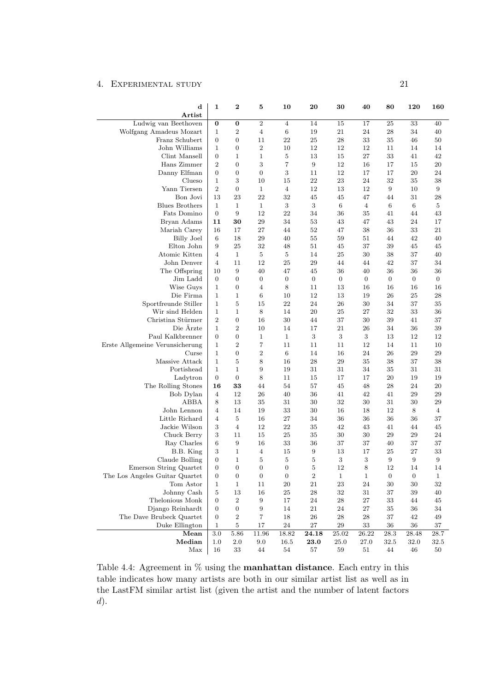<span id="page-25-0"></span>

| $\mathbf d$                                     | 1                    | 2                      | 5                   | 10                        | 20               | 30             | 40             | 80               | 120              | 160            |
|-------------------------------------------------|----------------------|------------------------|---------------------|---------------------------|------------------|----------------|----------------|------------------|------------------|----------------|
| $\rm Artist$                                    |                      |                        |                     |                           |                  |                |                |                  |                  |                |
| Ludwig van Beethoven<br>Wolfgang Amadeus Mozart | 0<br>$\mathbf{1}$    | 0<br>$\overline{2}$    | $\overline{2}$<br>4 | $\overline{4}$<br>$\,6\,$ | 14<br>19         | 15<br>$21\,$   | 17<br>24       | 25<br>28         | 33<br>34         | 40<br>40       |
| Franz Schubert                                  | $\boldsymbol{0}$     | $\boldsymbol{0}$       | 11                  | 22                        | 25               | 28             | 33             | 35               | 46               | 50             |
| John Williams                                   | $\mathbf 1$          | $\boldsymbol{0}$       | $\overline{2}$      | 10                        | 12               | 12             | 12             | 11               | 14               | 14             |
| Clint Mansell                                   | $\boldsymbol{0}$     | 1                      | $\mathbf 1$         | $\bf 5$                   | 13               | 15             | 27             | 33               | 41               | 42             |
| Hans Zimmer                                     | $\overline{2}$       | $\boldsymbol{0}$       | 3                   | $\scriptstyle{7}$         | $\boldsymbol{9}$ | 12             | 16             | 17               | 15               | 20             |
| Danny Elfman                                    | $\boldsymbol{0}$     | $\boldsymbol{0}$       | $\boldsymbol{0}$    | 3                         | 11               | 12             | 17             | 17               | 20               | 24             |
| Clueso                                          | $\mathbf 1$          | 3                      | 10                  | 15                        | 22               | 23             | 24             | 32               | 35               | 38             |
| Yann Tiersen                                    | $\overline{2}$       | $\boldsymbol{0}$       | $\mathbf 1$         | $\overline{4}$            | 12               | 13             | 12             | 9                | 10               | 9              |
| Bon Jovi                                        | 13                   | 23                     | 22                  | 32                        | 45               | 45             | 47             | 44               | 31               | 28             |
| <b>Blues Brothers</b>                           | $\mathbf{1}$         | $\mathbf{1}$           | $\mathbf{1}$        | $\sqrt{3}$                | 3                | $\,6\,$        | $\overline{4}$ | 6                | 6                | $\bf 5$        |
| Fats Domino                                     | $\mathbf{0}$         | 9                      | 12                  | 22                        | 34               | 36             | 35             | 41               | 44               | 43             |
| Bryan Adams                                     | 11                   | 30                     | 29                  | 34                        | 53               | 43             | 47             | 43               | 24               | 17             |
| Mariah Carey                                    | 16                   | 17                     | 27                  | 44                        | 52               | 47             | 38             | 36               | 33               | 21             |
| <b>Billy Joel</b>                               | 6                    | 18                     | 29                  | 40                        | 55               | 59             | 51             | 44               | 42               | 40             |
| Elton John                                      | 9                    | 25                     | 32                  | 48                        | 51               | 45             | 37             | 39               | 45               | 45             |
| Atomic Kitten                                   | $\overline{4}$       | $\mathbf{1}$           | 5                   | 5                         | 14               | 25             | 30             | 38               | 37               | 40             |
| John Denver                                     | $\overline{4}$       | 11                     | 12                  | 25                        | 29               | 44             | 44             | 42               | 37               | 34             |
| The Offspring                                   | 10                   | 9                      | 40                  | 47                        | 45               | 36             | 40             | 36               | 36               | 36             |
| Jim Ladd                                        | $\boldsymbol{0}$     | $\boldsymbol{0}$       | 0                   | $\boldsymbol{0}$          | 0                | $\overline{0}$ | $\overline{0}$ | 0                | $\boldsymbol{0}$ | 0              |
| Wise Guys                                       | $\mathbf{1}$         | $\boldsymbol{0}$       | 4                   | 8                         | 11               | 13             | 16             | 16               | 16               | 16             |
| Die Firma                                       | $\mathbf{1}$         | 1                      | 6                   | 10                        | 12               | 13             | 19             | 26               | 25               | 28             |
| Sportfreunde Stiller                            | $\mathbf{1}$         | 5                      | 15                  | 22                        | 24               | 26             | 30             | 34               | 37               | 35             |
| Wir sind Helden                                 | $\mathbf 1$          | $\mathbf{1}$           | 8                   | 14                        | 20               | 25             | 27             | 32               | 33               | 36             |
| Christina Stürmer                               | $\overline{2}$       | $\boldsymbol{0}$       | 16                  | 30                        | 44               | 37             | 30             | 39               | 41               | 37             |
| Die Ärzte                                       | $\mathbf 1$          | $\overline{2}$         | 10                  | 14                        | 17               | 21             | 26             | 34               | 36               | 39             |
| Paul Kalkbrenner                                | $\overline{0}$       | $\boldsymbol{0}$       | $\mathbf 1$         | $\mathbf{1}$              | 3                | $\sqrt{3}$     | 3              | 13               | 12               | 12             |
| Erste Allgemeine Verunsicherung                 | $\mathbf 1$          | $\overline{2}$         | 7                   | 11                        | 11               | 11             | 12             | 14               | 11               | 10             |
| Curse                                           | $\mathbf{1}$         | 0                      | $\overline{2}$      | 6                         | 14               | 16             | 24             | 26               | 29               | 29             |
| Massive Attack                                  | $\mathbf 1$          | 5                      | 8                   | 16                        | 28               | 29             | 35             | 38               | 37               | 38             |
| Portishead                                      | $\mathbf 1$          | $\mathbf{1}$           | 9                   | 19                        | 31               | 31             | 34             | 35               | 31               | 31             |
| Ladytron                                        | $\overline{0}$<br>16 | $\boldsymbol{0}$<br>33 | 8<br>44             | 11<br>54                  | 15               | 17<br>45       | 17<br>48       | 20<br>28         | 19<br>24         | 19             |
| The Rolling Stones<br>Bob Dylan                 | 4                    | 12                     | 26                  | 40                        | 57<br>36         | 41             | 42             | 41               | 29               | 20<br>29       |
| ABBA                                            | 8                    | 13                     | 35                  | 31                        | 30               | 32             | 30             | 31               | 30               | 29             |
| John Lennon                                     | 4                    | 14                     | 19                  | 33                        | 30               | 16             | 18             | 12               | 8                | $\overline{4}$ |
| Little Richard                                  | 4                    | 5                      | 16                  | 27                        | 34               | 36             | 36             | 36               | 36               | 37             |
| Jackie Wilson                                   | 3                    | $\overline{4}$         | 12                  | 22                        | 35               | 42             | 43             | 41               | 44               | 45             |
| Chuck Berry                                     | 3                    | 11                     | 15                  | 25                        | 35               | 30             | 30             | 29               | 29               | 24             |
| Ray Charles                                     | 6                    | 9                      | 16                  | 33                        | 36               | 37             | 37             | 40               | 37               | 37             |
| B.B. King                                       | 3                    | 1                      | $\overline{4}$      | 15                        | 9                | 13             | 17             | 25               | 27               | 33             |
| Claude Bolling                                  | $\overline{0}$       | $\mathbf{1}$           | 5                   | 5                         | 5                | 3              | 3              | 9                | 9                | 9              |
| Emerson String Quartet                          | $\theta$             | $\theta$               | $\theta$            | $\theta$                  | 5                | 12             | 8              | 12               | 14               | 14             |
| The Los Angeles Guitar Quartet                  | $\boldsymbol{0}$     | $\boldsymbol{0}$       | 0                   | $\boldsymbol{0}$          | $\,2$            | $\mathbf{1}$   | $\mathbf{1}$   | $\boldsymbol{0}$ | $\boldsymbol{0}$ | 1              |
| Tom Astor                                       | $\mathbf{1}$         | $\mathbf 1$            | 11                  | $20\,$                    | 21               | 23             | $\sqrt{24}$    | 30               | 30               | 32             |
| Johnny Cash                                     | 5                    | 13                     | 16                  | $25\,$                    | 28               | 32             | $31\,$         | 37               | 39               | 40             |
| Thelonious Monk                                 | $\boldsymbol{0}$     | 2                      | $\boldsymbol{9}$    | 17                        | 24               | 28             | $27\,$         | 33               | 44               | 45             |
| Django Reinhardt                                | $\boldsymbol{0}$     | 0                      | 9                   | 14                        | 21               | 24             | $27\,$         | 35               | 36               | 34             |
| The Dave Brubeck Quartet                        | $\boldsymbol{0}$     | $\,2$                  | 7                   | 18                        | 26               | 28             | 28             | 37               | 42               | 49             |
| Duke Ellington                                  | $\mathbf{1}$         | $\bf 5$                | 17                  | $\bf 24$                  | $27\,$           | 29             | 33             | 36               | 36               | 37             |
| Mean                                            | $3.0\,$              | 5.86                   | 11.96               | 18.82                     | 24.18            | 25.02          | 26.22          | 28.3             | 28.48            | 28.7           |
| Median                                          | 1.0                  | 2.0                    | 9.0                 | 16.5                      | 23.0             | 25.0           | 27.0           | 32.5             | 32.0             | 32.5           |
| Max                                             | 16                   | 33                     | 44                  | 54                        | 57               | 59             | 51             | 44               | 46               | 50             |

Table 4.4: Agreement in % using the manhattan distance. Each entry in this table indicates how many artists are both in our similar artist list as well as in the LastFM similar artist list (given the artist and the number of latent factors d).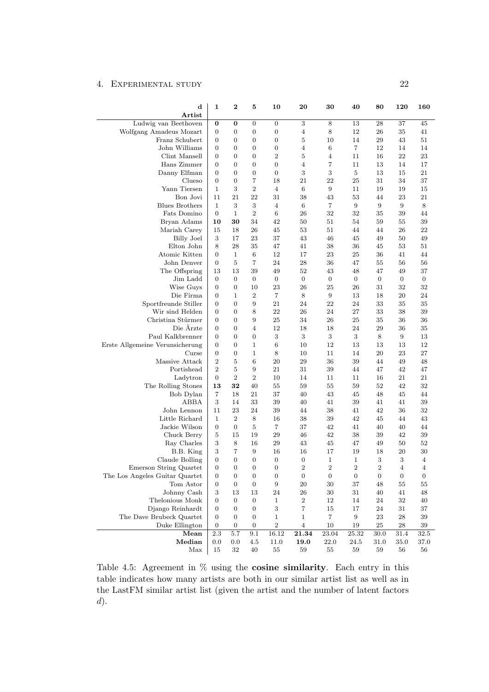<span id="page-26-0"></span>

| $\mathbf d$<br>Artist                    | 1                                | 2                                | 5                                | 10               | 20               | 30               | 40               | 80               | 120              | 160              |
|------------------------------------------|----------------------------------|----------------------------------|----------------------------------|------------------|------------------|------------------|------------------|------------------|------------------|------------------|
| Ludwig van Beethoven                     | 0                                | 0                                | $\boldsymbol{0}$                 | $\boldsymbol{0}$ | 3                | $\,8\,$          | 13               | 28               | 37               | 45               |
| Wolfgang Amadeus Mozart                  | $\boldsymbol{0}$                 | 0                                | $\boldsymbol{0}$                 | $\boldsymbol{0}$ | 4                | 8                | 12               | 26               | 35               | 41               |
| Franz Schubert                           | $\overline{0}$                   | $\overline{0}$                   | $\boldsymbol{0}$                 | $\boldsymbol{0}$ | $\mathbf 5$      | 10               | 14               | 29               | 43               | 51               |
| John Williams                            | $\overline{0}$                   | $\overline{0}$                   | $\overline{0}$                   | $\boldsymbol{0}$ | 4                | 6                | 7                | 12               | 14               | 14               |
| Clint Mansell                            | $\overline{0}$                   | $\overline{0}$                   | 0                                | $\boldsymbol{2}$ | 5                | 4                | 11               | 16               | 22               | 23               |
| Hans Zimmer                              | $\mathbf{0}$                     | $\overline{0}$                   | $\boldsymbol{0}$                 | $\mathbf{0}$     | 4                | 7                | 11               | 13               | 14               | 17               |
| Danny Elfman                             | $\overline{0}$                   | $\overline{0}$                   | $\overline{0}$                   | $\boldsymbol{0}$ | 3                | 3                | $\overline{5}$   | 13               | 15               | 21               |
| Clueso                                   | $\overline{0}$                   | 0                                | 7                                | 18               | 21               | 22               | 25               | 31               | 34               | 37               |
| Yann Tiersen                             | $\mathbf{1}$                     | 3                                | $\boldsymbol{2}$                 | $\overline{4}$   | 6                | 9                | 11               | 19               | 19               | 15               |
| Bon Jovi                                 | 11                               | 21                               | 22                               | 31               | 38               | 43               | 53               | 44               | 23               | 21               |
| <b>Blues Brothers</b>                    | 1                                | 3                                | 3                                | $\overline{4}$   | 6                | 7                | 9                | 9                | 9                | 8                |
| Fats Domino                              | $\boldsymbol{0}$                 | $\mathbf{1}$                     | $\boldsymbol{2}$                 | $6\phantom{.}6$  | 26               | 32               | 32               | 35               | 39               | 44               |
| Bryan Adams                              | 10                               | 30                               | 34                               | 42               | 50               | 51               | 54               | 59               | 55               | 39               |
| Mariah Carey                             | 15                               | 18                               | 26                               | 45               | 53               | 51               | 44               | 44               | 26               | 22               |
| <b>Billy Joel</b>                        | 3                                | 17                               | 23                               | 37               | 43               | 46               | 45               | 49               | 50               | 49               |
| Elton John                               | 8                                | 28                               | 35                               | 47               | 41               | 38               | 36               | 45               | 53               | 51               |
| Atomic Kitten                            | $\boldsymbol{0}$                 | $\mathbf 1$                      | 6                                | 12               | 17               | 23               | 25               | 36               | 41               | 44               |
| John Denver                              | $\overline{0}$                   | 5                                | 7                                | 24               | 28               | 36               | 47               | 55               | 56               | 56               |
| The Offspring                            | 13                               | 13                               | 39                               | 49               | 52               | 43               | 48               | 47               | 49               | 37               |
| Jim Ladd                                 | $\overline{0}$                   | $\overline{0}$                   | $\mathbf{0}$                     | $\mathbf{0}$     | $\boldsymbol{0}$ | $\boldsymbol{0}$ | $\boldsymbol{0}$ | $\overline{0}$   | 0                | 0                |
| Wise Guys                                | $\boldsymbol{0}$                 | 0                                | 10                               | 23               | 26               | 25               | 26               | 31               | 32               | 32               |
| Die Firma                                | 0                                | 1                                | $\boldsymbol{2}$                 | $\overline{7}$   | 8                | 9                | 13               | 18               | 20               | 24               |
| Sportfreunde Stiller                     | $\overline{0}$                   | $\overline{0}$                   | 9                                | 21               | 24               | 22               | 24               | 33               | 35               | 35               |
| Wir sind Helden                          | $\overline{0}$                   | 0                                | 8                                | 22               | 26               | 24               | 27               | 33               | 38               | 39               |
| Christina Stürmer                        | $\overline{0}$                   | $\overline{0}$                   | 9                                | 25               | 34               | 26               | 25               | 35               | 36               | 36               |
| Die Arzte                                | $\overline{0}$                   | 0                                | $\overline{4}$                   | 12               | 18               | 18               | 24               | 29               | 36               | 35               |
| Paul Kalkbrenner                         | $\overline{0}$<br>$\overline{0}$ | $\overline{0}$<br>$\overline{0}$ | $\boldsymbol{0}$<br>$\mathbf{1}$ | 3                | $\,3$            | $\sqrt{3}$       | $\sqrt{3}$       | $\,8\,$          | 9                | 13               |
| Erste Allgemeine Verunsicherung<br>Curse | $\overline{0}$                   | 0                                | $\mathbf{1}$                     | 6<br>8           | 10<br>10         | 12<br>11         | 13<br>14         | 13<br>20         | 13<br>23         | 12<br>27         |
| Massive Attack                           | $\overline{2}$                   | 5                                | 6                                | 20               | 29               | 36               | 39               | 44               | 49               | 48               |
| Portishead                               | $\overline{2}$                   | 5                                | 9                                | 21               | 31               | 39               | 44               | 47               | 42               | 47               |
| Ladytron                                 | $\overline{0}$                   | $\overline{2}$                   | $\boldsymbol{2}$                 | 10               | 14               | 11               | 11               | 16               | 21               | 21               |
| The Rolling Stones                       | 13                               | 32                               | 40                               | 55               | 59               | 55               | 59               | 52               | 42               | 32               |
| Bob Dylan                                | 7                                | 18                               | 21                               | 37               | 40               | 43               | 45               | 48               | 45               | 44               |
| ABBA                                     | 3                                | 14                               | 33                               | 39               | 40               | 41               | 39               | 41               | 41               | 39               |
| John Lennon                              | 11                               | 23                               | 24                               | 39               | 44               | 38               | 41               | 42               | 36               | 32               |
| Little Richard                           | $\mathbf{1}$                     | $\overline{2}$                   | 8                                | 16               | 38               | 39               | 42               | 45               | 44               | 43               |
| Jackie Wilson                            | $\boldsymbol{0}$                 | 0                                | $\overline{5}$                   | $\overline{7}$   | 37               | 42               | 41               | 40               | 40               | 44               |
| Chuck Berry                              | 5                                | 15                               | 19                               | 29               | 46               | 42               | 38               | 39               | 42               | 39               |
| Ray Charles                              | 3                                | 8                                | 16                               | 29               | 43               | 45               | 47               | 49               | 50               | 52               |
| B.B. King                                | 3                                | 7                                | 9                                | 16               | 16               | 17               | 19               | 18               | 20               | 30               |
| Claude Bolling                           | $\overline{0}$                   | $\overline{0}$                   | $\boldsymbol{0}$                 | $\boldsymbol{0}$ | 0                | $\mathbf 1$      | $\mathbf 1$      | 3                | 3                | 4                |
| Emerson String Quartet                   | 0                                | 0                                | 0                                | $\boldsymbol{0}$ | 2                | 2                | 2                | 2                | 4                | 4                |
| The Los Angeles Guitar Quartet           | $\mathbf{0}$                     | 0                                | 0                                | $\boldsymbol{0}$ | $\boldsymbol{0}$ | $\boldsymbol{0}$ | $\boldsymbol{0}$ | $\boldsymbol{0}$ | $\boldsymbol{0}$ | $\boldsymbol{0}$ |
| Tom Astor                                | $\boldsymbol{0}$                 | 0                                | 0                                | 9                | 20               | 30               | 37               | 48               | 55               | 55               |
| Johnny Cash                              | 3                                | 13                               | 13                               | 24               | $26\,$           | 30               | 31               | 40               | 41               | 48               |
| Thelonious Monk                          | $\mathbf{0}$                     | $\boldsymbol{0}$                 | $\boldsymbol{0}$                 | $\mathbf{1}$     | $\,2$            | $12\,$           | 14               | 24               | 32               | 40               |
| Django Reinhardt                         | $\boldsymbol{0}$                 | 0                                | 0                                | 3                | 7                | 15               | 17               | 24               | 31               | 37               |
| The Dave Brubeck Quartet                 | $\mathbf{0}$                     | 0                                | 0                                | $\mathbf 1$      | 1                | 7                | $\boldsymbol{9}$ | 23               | $\rm 28$         | 39               |
| Duke Ellington                           | $\boldsymbol{0}$                 | 0                                | 0                                | $\,2$            | 4                | 10               | 19               | 25               | 28               | 39               |
| Mean                                     | 2.3                              | 5.7                              | 9.1                              | 16.12            | 21.34            | $23.04\,$        | 25.32            | $30.0\,$         | $31.4\,$         | 32.5             |
| Median                                   | $0.0\,$                          | $0.0\,$                          | 4.5                              | 11.0             | 19.0             | $22.0\,$         | 24.5             | 31.0             | 35.0             | 37.0             |
| Max                                      | 15                               | $32\,$                           | 40                               | $55\,$           | $59\,$           | 55               | 59               | 59               | 56               | 56               |

Table 4.5: Agreement in  $\%$  using the cosine similarity. Each entry in this table indicates how many artists are both in our similar artist list as well as in the LastFM similar artist list (given the artist and the number of latent factors d).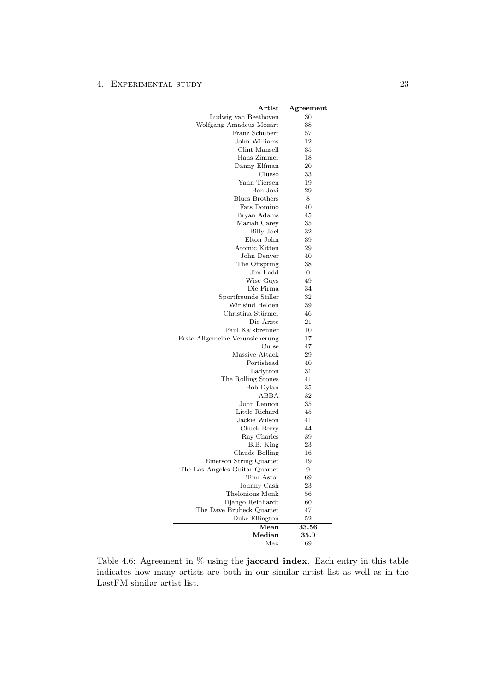<span id="page-27-0"></span>

| Artist                          | Agreement  |
|---------------------------------|------------|
| Ludwig van Beethoven            | 30         |
| Wolfgang Amadeus Mozart         | 38         |
| Franz Schubert                  | 57         |
| John Williams                   | 12         |
| Clint Mansell                   | 35         |
| Hans Zimmer                     | 18         |
| Danny Elfman                    | 20         |
| Clueso                          | 33         |
| Yann Tiersen                    | 19         |
| Bon Jovi                        | 29         |
| <b>Blues Brothers</b>           | 8          |
| Fats Domino                     | 40         |
| Bryan Adams                     | 45         |
| Mariah Carey                    | 35         |
| <b>Billy Joel</b>               | 32         |
| Elton John                      | 39         |
| Atomic Kitten                   | 29         |
| John Denver                     | 40         |
| The Offspring                   | 38         |
| Jim Ladd                        | 0          |
| Wise Guys                       | 49         |
| Die Firma                       | 34         |
| Sportfreunde Stiller            | 32         |
| Wir sind Helden                 | 39         |
| Christina Stürmer               | 46         |
| Die Ärzte                       | 21         |
| Paul Kalkbrenner                | 10         |
| Erste Allgemeine Verunsicherung | 17         |
| Curse                           | 47         |
| Massive Attack                  | 29         |
| Portishead                      | 40         |
| Ladytron                        | 31         |
| The Rolling Stones              | 41         |
| Bob Dylan                       | 35         |
| ABBA                            | 32         |
| John Lennon                     | 35         |
| Little Richard                  | 45         |
| Jackie Wilson                   | 41         |
| Chuck Berry                     | 44         |
| Ray Charles                     | 39         |
| B.B. King                       | 23         |
| Claude Bolling                  | 16         |
| Emerson String Quartet          | 19         |
| The Los Angeles Guitar Quartet  | 9          |
| Tom Astor                       | 69         |
| Johnny Cash                     | 23         |
| Thelonious Monk                 | 56         |
| Django Reinhardt                | 60         |
| The Dave Brubeck Quartet        | 47         |
| Duke Ellington                  | 52         |
| Mean                            | 33.56      |
| $\bm{\mathrm{Median}}$          | $\bf 35.0$ |
| Max                             | 69         |
|                                 |            |

Table 4.6: Agreement in  $\%$  using the **jaccard index**. Each entry in this table indicates how many artists are both in our similar artist list as well as in the LastFM similar artist list.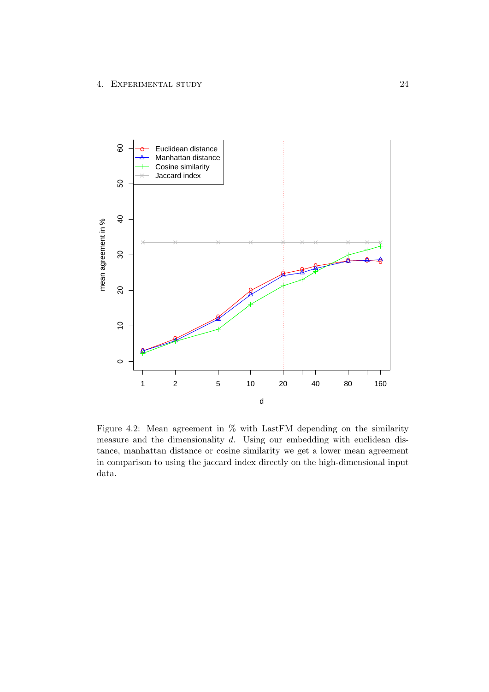<span id="page-28-0"></span>

Figure 4.2: Mean agreement in % with LastFM depending on the similarity measure and the dimensionality d. Using our embedding with euclidean distance, manhattan distance or cosine similarity we get a lower mean agreement in comparison to using the jaccard index directly on the high-dimensional input data.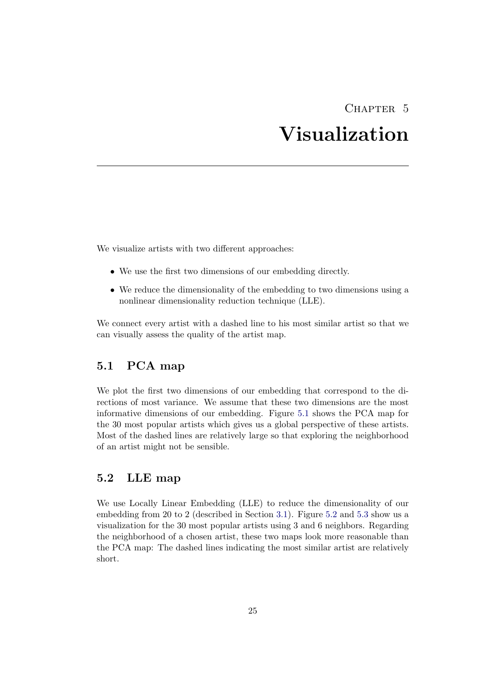# CHAPTER<sub>5</sub> Visualization

<span id="page-29-0"></span>We visualize artists with two different approaches:

- We use the first two dimensions of our embedding directly.
- We reduce the dimensionality of the embedding to two dimensions using a nonlinear dimensionality reduction technique (LLE).

We connect every artist with a dashed line to his most similar artist so that we can visually assess the quality of the artist map.

### <span id="page-29-1"></span>5.1 PCA map

We plot the first two dimensions of our embedding that correspond to the directions of most variance. We assume that these two dimensions are the most informative dimensions of our embedding. Figure [5.1](#page-30-0) shows the PCA map for the 30 most popular artists which gives us a global perspective of these artists. Most of the dashed lines are relatively large so that exploring the neighborhood of an artist might not be sensible.

# <span id="page-29-2"></span>5.2 LLE map

We use Locally Linear Embedding (LLE) to reduce the dimensionality of our embedding from 20 to 2 (described in Section [3.1\)](#page-16-1). Figure [5.2](#page-31-0) and [5.3](#page-32-0) show us a visualization for the 30 most popular artists using 3 and 6 neighbors. Regarding the neighborhood of a chosen artist, these two maps look more reasonable than the PCA map: The dashed lines indicating the most similar artist are relatively short.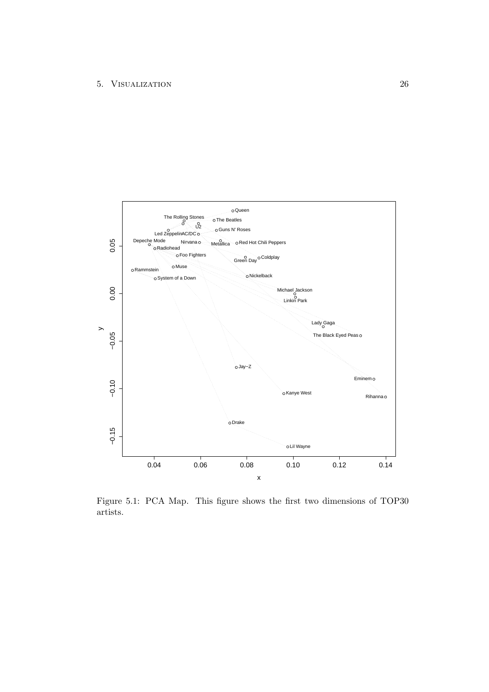<span id="page-30-0"></span>

Figure 5.1: PCA Map. This figure shows the first two dimensions of TOP30 artists.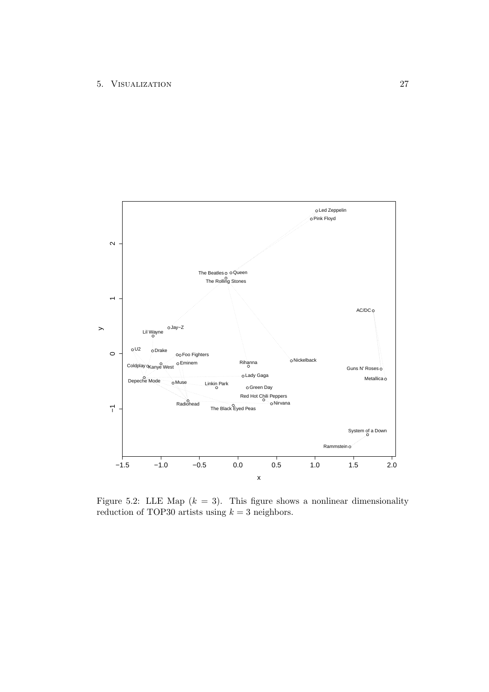<span id="page-31-0"></span>![](_page_31_Figure_1.jpeg)

Figure 5.2: LLE Map  $(k = 3)$ . This figure shows a nonlinear dimensionality reduction of TOP30 artists using  $k = 3$  neighbors.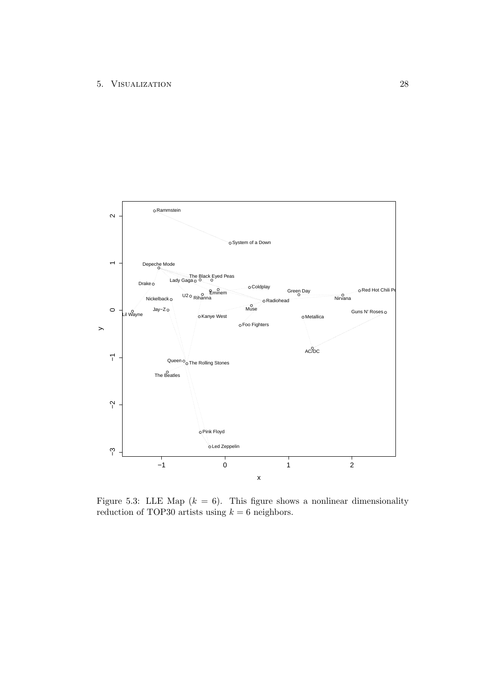<span id="page-32-0"></span>![](_page_32_Figure_1.jpeg)

Figure 5.3: LLE Map  $(k = 6)$ . This figure shows a nonlinear dimensionality reduction of TOP30 artists using  $k = 6$  neighbors.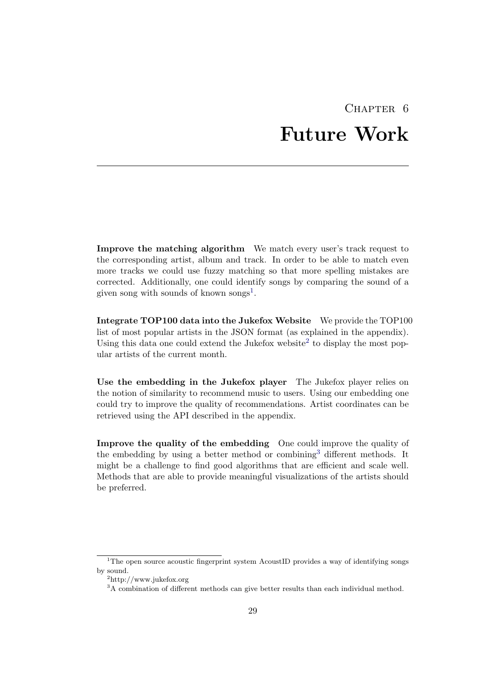# CHAPTER<sub>6</sub> Future Work

<span id="page-33-0"></span>Improve the matching algorithm We match every user's track request to the corresponding artist, album and track. In order to be able to match even more tracks we could use fuzzy matching so that more spelling mistakes are corrected. Additionally, one could identify songs by comparing the sound of a given song with sounds of known songs<sup>[1](#page-33-1)</sup>.

Integrate TOP100 data into the Jukefox Website We provide the TOP100 list of most popular artists in the JSON format (as explained in the appendix). Using this data one could extend the Jukefox website<sup>[2](#page-33-2)</sup> to display the most popular artists of the current month.

Use the embedding in the Jukefox player The Jukefox player relies on the notion of similarity to recommend music to users. Using our embedding one could try to improve the quality of recommendations. Artist coordinates can be retrieved using the API described in the appendix.

Improve the quality of the embedding One could improve the quality of the embedding by using a better method or combining<sup>[3](#page-33-3)</sup> different methods. It might be a challenge to find good algorithms that are efficient and scale well. Methods that are able to provide meaningful visualizations of the artists should be preferred.

<span id="page-33-1"></span><sup>&</sup>lt;sup>1</sup>The open source acoustic fingerprint system AcoustID provides a way of identifying songs by sound.

<span id="page-33-2"></span><sup>2</sup>http://www.jukefox.org

<span id="page-33-3"></span><sup>&</sup>lt;sup>3</sup>A combination of different methods can give better results than each individual method.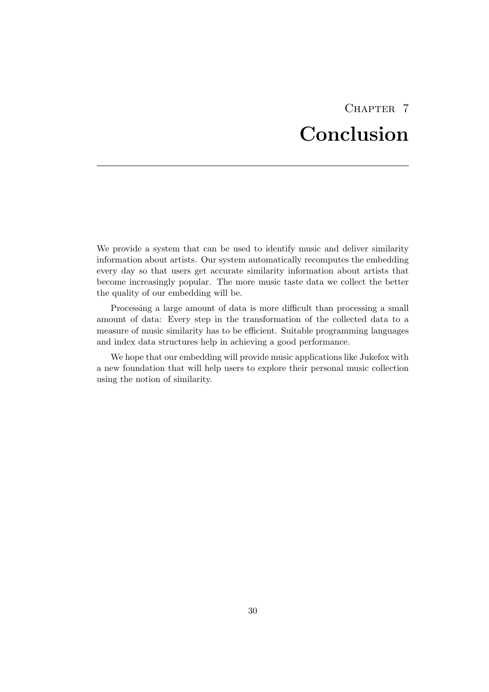# CHAPTER<sub>7</sub> Conclusion

<span id="page-34-0"></span>We provide a system that can be used to identify music and deliver similarity information about artists. Our system automatically recomputes the embedding every day so that users get accurate similarity information about artists that become increasingly popular. The more music taste data we collect the better the quality of our embedding will be.

Processing a large amount of data is more difficult than processing a small amount of data: Every step in the transformation of the collected data to a measure of music similarity has to be efficient. Suitable programming languages and index data structures help in achieving a good performance.

We hope that our embedding will provide music applications like Jukefox with a new foundation that will help users to explore their personal music collection using the notion of similarity.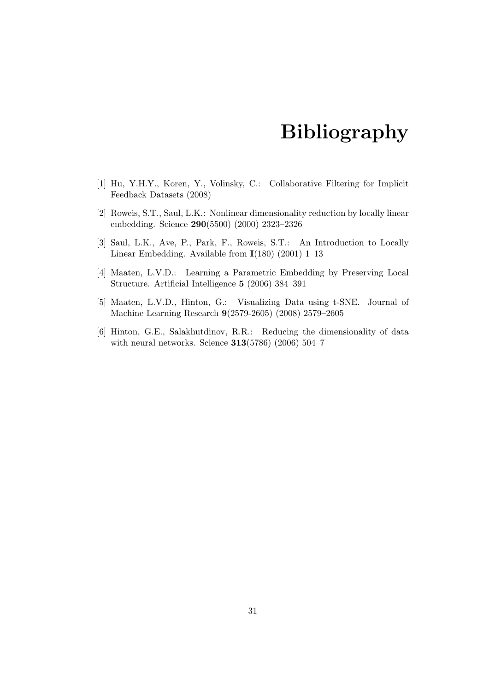# Bibliography

- <span id="page-35-1"></span><span id="page-35-0"></span>[1] Hu, Y.H.Y., Koren, Y., Volinsky, C.: Collaborative Filtering for Implicit Feedback Datasets (2008)
- <span id="page-35-2"></span>[2] Roweis, S.T., Saul, L.K.: Nonlinear dimensionality reduction by locally linear embedding. Science 290(5500) (2000) 2323–2326
- <span id="page-35-3"></span>[3] Saul, L.K., Ave, P., Park, F., Roweis, S.T.: An Introduction to Locally Linear Embedding. Available from I(180) (2001) 1–13
- <span id="page-35-4"></span>[4] Maaten, L.V.D.: Learning a Parametric Embedding by Preserving Local Structure. Artificial Intelligence 5 (2006) 384–391
- <span id="page-35-5"></span>[5] Maaten, L.V.D., Hinton, G.: Visualizing Data using t-SNE. Journal of Machine Learning Research 9(2579-2605) (2008) 2579–2605
- <span id="page-35-6"></span>[6] Hinton, G.E., Salakhutdinov, R.R.: Reducing the dimensionality of data with neural networks. Science 313(5786) (2006) 504–7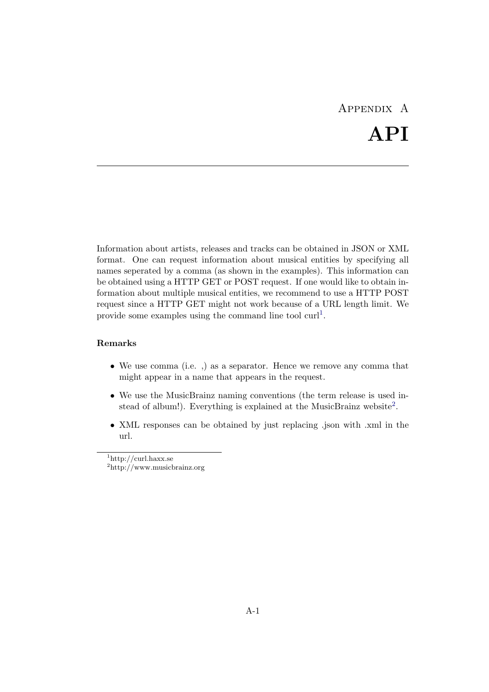# Appendix A API

<span id="page-36-0"></span>Information about artists, releases and tracks can be obtained in JSON or XML format. One can request information about musical entities by specifying all names seperated by a comma (as shown in the examples). This information can be obtained using a HTTP GET or POST request. If one would like to obtain information about multiple musical entities, we recommend to use a HTTP POST request since a HTTP GET might not work because of a URL length limit. We provide some examples using the command line tool  $\text{curl}^1$  $\text{curl}^1$ .

#### Remarks

- We use comma (i.e. ,) as a separator. Hence we remove any comma that might appear in a name that appears in the request.
- We use the MusicBrainz naming conventions (the term release is used in-stead of album!). Everything is explained at the MusicBrainz website<sup>[2](#page-36-2)</sup>.
- XML responses can be obtained by just replacing .json with .xml in the url.

<span id="page-36-1"></span><sup>1</sup>http://curl.haxx.se

<span id="page-36-2"></span><sup>2</sup>http://www.musicbrainz.org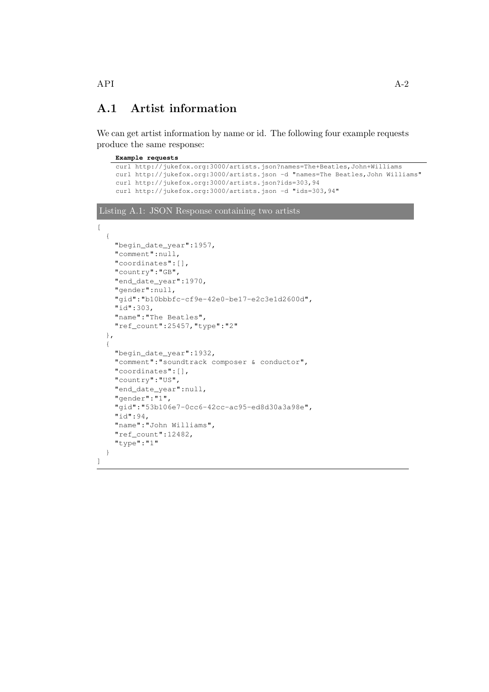# <span id="page-37-0"></span>A.1 Artist information

We can get artist information by name or id. The following four example requests produce the same response:

```
Example requests
    curl http://jukefox.org:3000/artists.json?names=The+Beatles,John+Williams
    curl http://jukefox.org:3000/artists.json -d "names=The Beatles,John Williams"
    curl http://jukefox.org:3000/artists.json?ids=303,94
    curl http://jukefox.org:3000/artists.json -d "ids=303,94"
Listing A.1: JSON Response containing two artists
\lceil{
    "begin_date_year":1957,
    "comment":null,
    "coordinates":[],
    "country":"GB",
    "end_date_year":1970,
    "gender":null,
    "gid":"b10bbbfc-cf9e-42e0-be17-e2c3e1d2600d",
    "id":303,
    "name":"The Beatles",
    "ref_count":25457,"type":"2"
  },
  {
    "begin_date_year":1932,
    "comment":"soundtrack composer & conductor",
    "coordinates":[],
    "country":"US",
    "end_date_year":null,
    "gender":"1",
    "gid":"53b106e7-0cc6-42cc-ac95-ed8d30a3a98e",
    "id":94,
    "name":"John Williams",
    "ref_count":12482,
    "type":"1"
  }
]
```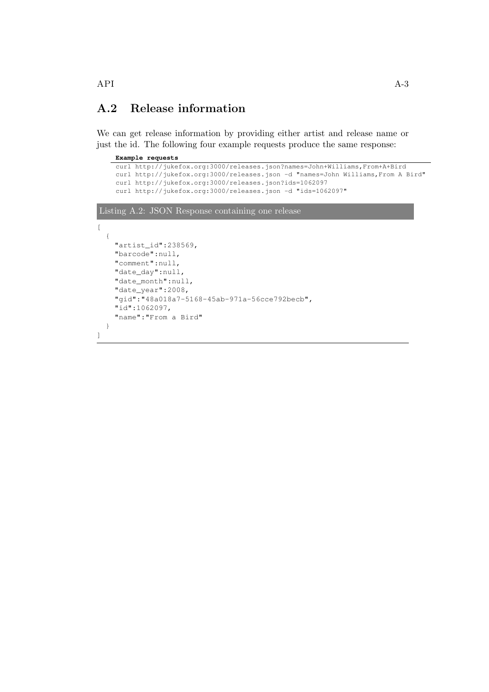# <span id="page-38-0"></span>A.2 Release information

We can get release information by providing either artist and release name or just the id. The following four example requests produce the same response:

| Example requests                                                                 |
|----------------------------------------------------------------------------------|
| curl http://jukefox.org:3000/releases.json?names=John+Williams,From+A+Bird       |
| curl http://jukefox.org:3000/releases.json -d "names=John Williams, From A Bird" |
| curl http://jukefox.org:3000/releases.json?ids=1062097                           |
| curl http://jukefox.org:3000/releases.json -d "ids=1062097"                      |
|                                                                                  |
| Listing A.2: JSON Response containing one release                                |
|                                                                                  |
|                                                                                  |
| "artist_id":238569,                                                              |
| "barcode":null,                                                                  |
|                                                                                  |
| "comment":null,                                                                  |
| "date_day":null,                                                                 |
| "date month":null,                                                               |
| "date_year":2008,                                                                |
| "gid":"48a018a7-5168-45ab-971a-56cce792becb",                                    |
| "id":1062097,                                                                    |
| "name": "From a Bird"                                                            |
|                                                                                  |
|                                                                                  |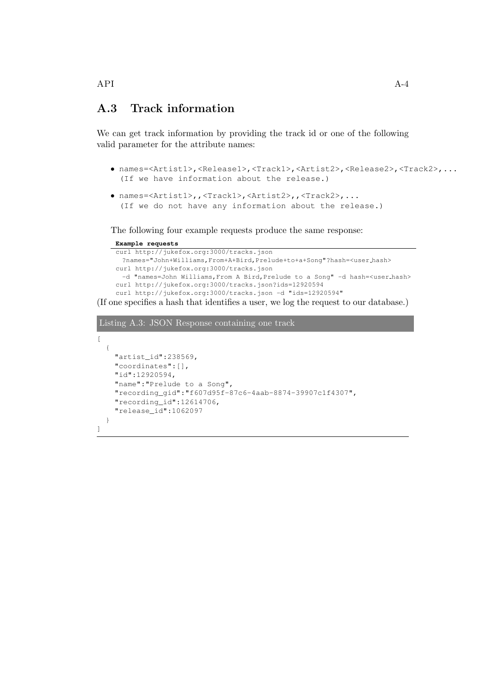# <span id="page-39-0"></span>A.3 Track information

We can get track information by providing the track id or one of the following valid parameter for the attribute names:

```
• names=<Artist1>,<Release1>,<Track1>,<Artist2>,<Release2>,<Track2>,...
  (If we have information about the release.)
```

```
• names=<Artist1>,,<Track1>,<Artist2>,,<Track2>,...
  (If we do not have any information about the release.)
```
The following four example requests produce the same response:

#### **Example requests**

```
curl http://jukefox.org:3000/tracks.json
 ?names="John+Williams,From+A+Bird,Prelude+to+a+Song"?hash=<user hash>
curl http://jukefox.org:3000/tracks.json
 -d "names=John Williams, From A Bird, Prelude to a Song" -d hash=<user_hash>
curl http://jukefox.org:3000/tracks.json?ids=12920594
curl http://jukefox.org:3000/tracks.json -d "ids=12920594"
```
(If one specifies a hash that identifies a user, we log the request to our database.)

### Listing A.3: JSON Response containing one track

```
[
  {
    "artist_id":238569,
    "coordinates":[],
    "id":12920594,
    "name":"Prelude to a Song",
    "recording_gid":"f607d95f-87c6-4aab-8874-39907c1f4307",
    "recording_id":12614706,
    "release_id":1062097
  }
]
```